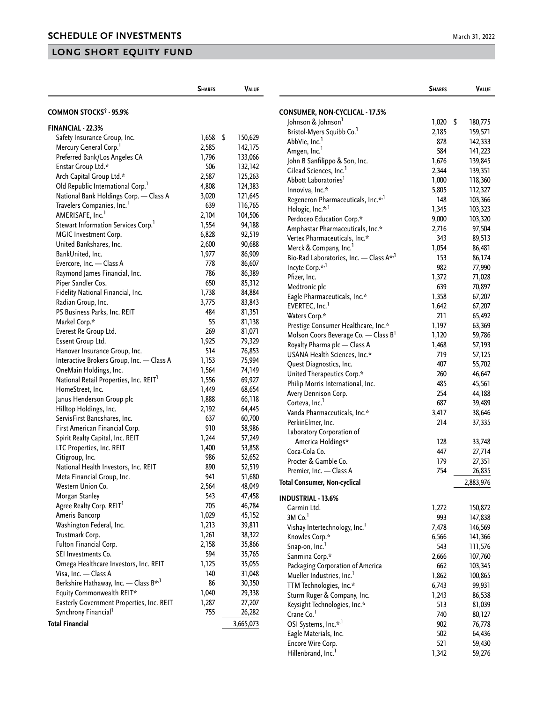|                                                    | <b>SHARES</b> | VALUE     |                                                        | <b>SHARES</b> | <b>VALUE</b> |
|----------------------------------------------------|---------------|-----------|--------------------------------------------------------|---------------|--------------|
| COMMON STOCKS <sup>†</sup> - 95.9%                 |               |           | <b>CONSUMER, NON-CYCLICAL - 17.5%</b>                  |               |              |
|                                                    |               |           | Johnson & Johnson <sup>1</sup>                         | $1,020$ \$    | 180,775      |
| FINANCIAL - 22.3%                                  |               |           | Bristol-Myers Squibb Co. <sup>1</sup>                  | 2,185         | 159,571      |
| Safety Insurance Group, Inc.                       | $1,658$ \$    | 150,629   | AbbVie, Inc. <sup>1</sup>                              | 878           | 142,333      |
| Mercury General Corp. <sup>1</sup>                 | 2,585         | 142,175   | Amgen, Inc. <sup>1</sup>                               | 584           | 141,223      |
| Preferred Bank/Los Angeles CA                      | 1,796         | 133,066   | John B Sanfilippo & Son, Inc.                          | 1,676         | 139,845      |
| Enstar Group Ltd.*                                 | 506           | 132,142   | Gilead Sciences, Inc. <sup>1</sup>                     | 2,344         | 139,351      |
| Arch Capital Group Ltd.*                           | 2,587         | 125,263   | Abbott Laboratories <sup>1</sup>                       | 1,000         | 118,360      |
| Old Republic International Corp. <sup>1</sup>      | 4,808         | 124,383   | Innoviva, Inc.*                                        | 5,805         | 112,327      |
| National Bank Holdings Corp. - Class A             | 3,020         | 121,645   | Regeneron Pharmaceuticals, Inc.* <sup>,1</sup>         | 148           | 103,366      |
| Travelers Companies, Inc. <sup>1</sup>             | 639           | 116,765   | Hologic, Inc.* <sup>,1</sup>                           | 1,345         | 103,323      |
| AMERISAFE, Inc. <sup>1</sup>                       | 2,104         | 104,506   | Perdoceo Education Corp.*                              | 9,000         | 103,320      |
| Stewart Information Services Corp. <sup>1</sup>    | 1,554         | 94,188    | Amphastar Pharmaceuticals, Inc.*                       | 2,716         | 97,504       |
| MGIC Investment Corp.                              | 6,828         | 92,519    | Vertex Pharmaceuticals, Inc.*                          | 343           | 89,513       |
| United Bankshares, Inc.                            | 2,600         | 90,688    | Merck & Company, Inc. <sup>1</sup>                     | 1,054         | 86,481       |
| BankUnited, Inc.                                   | 1,977         | 86,909    | Bio-Rad Laboratories, Inc. - Class A <sup>*,1</sup>    | 153           | 86,174       |
| Evercore, Inc. - Class A                           | 778           | 86,607    | Incyte Corp.* <sup>,1</sup>                            | 982           | 77,990       |
| Raymond James Financial, Inc.                      | 786           | 86,389    | Pfizer, Inc.                                           | 1,372         | 71,028       |
| Piper Sandler Cos.                                 | 650           | 85,312    | Medtronic plc                                          | 639           | 70,897       |
| Fidelity National Financial, Inc.                  | 1,738         | 84,884    | Eagle Pharmaceuticals, Inc.*                           | 1,358         | 67,207       |
| Radian Group, Inc.                                 | 3,775         | 83,843    | EVERTEC, Inc. <sup>1</sup>                             | 1,642         | 67,207       |
| PS Business Parks, Inc. REIT                       | 484           | 81,351    | Waters Corp.*                                          | 211           | 65,492       |
| Markel Corp.*                                      | 55            | 81,138    | Prestige Consumer Healthcare, Inc.*                    | 1,197         | 63,369       |
| Everest Re Group Ltd.                              | 269           | 81,071    | Molson Coors Beverage Co. - Class B <sup>1</sup>       | 1,120         | 59,786       |
| Essent Group Ltd.                                  | 1,925         | 79,329    | Royalty Pharma plc - Class A                           | 1,468         | 57,193       |
| Hanover Insurance Group, Inc.                      | 514           | 76,853    | USANA Health Sciences, Inc.*                           | 719           | 57,125       |
| Interactive Brokers Group, Inc. - Class A          | 1,153         | 75,994    |                                                        | 407           | 55,702       |
| OneMain Holdings, Inc.                             | 1,564         | 74,149    | Quest Diagnostics, Inc.<br>United Therapeutics Corp.*  | 260           | 46,647       |
| National Retail Properties, Inc. REIT <sup>1</sup> | 1,556         | 69,927    | Philip Morris International, Inc.                      | 485           |              |
| HomeStreet, Inc.                                   | 1,449         | 68,654    |                                                        | 254           | 45,561       |
| Janus Henderson Group plc                          | 1,888         | 66,118    | Avery Dennison Corp.<br>Corteva, Inc. <sup>1</sup>     | 687           | 44,188       |
| Hilltop Holdings, Inc.                             | 2,192         | 64,445    |                                                        |               | 39,489       |
| ServisFirst Bancshares, Inc.                       | 637           | 60,700    | Vanda Pharmaceuticals, Inc.*                           | 3,417         | 38,646       |
| First American Financial Corp.                     | 910           | 58,986    | PerkinElmer, Inc.                                      | 214           | 37,335       |
| Spirit Realty Capital, Inc. REIT                   | 1,244         | 57,249    | Laboratory Corporation of                              |               |              |
| LTC Properties, Inc. REIT                          | 1,400         | 53,858    | America Holdings*                                      | 128           | 33,748       |
| Citigroup, Inc.                                    | 986           | 52,652    | Coca-Cola Co.                                          | 447           | 27,714       |
| National Health Investors, Inc. REIT               | 890           | 52,519    | Procter & Gamble Co.                                   | 179           | 27,351       |
| Meta Financial Group, Inc.                         | 941           | 51,680    | Premier, Inc. - Class A                                | 754           | 26,835       |
| Western Union Co.                                  | 2,564         | 48,049    | <b>Total Consumer, Non-cyclical</b>                    |               | 2,883,976    |
| Morgan Stanley                                     | 543           | 47,458    | <b>INDUSTRIAL - 13.6%</b>                              |               |              |
| Agree Realty Corp. REIT <sup>1</sup>               | 705           | 46,784    | Garmin Ltd.                                            | 1,272         | 150,872      |
| Ameris Bancorp                                     | 1,029         | 45,152    | 3M Co. <sup>1</sup>                                    | 993           | 147,838      |
| Washington Federal, Inc.                           | 1,213         | 39,811    | Vishay Intertechnology, Inc.                           | 7,478         | 146,569      |
| Trustmark Corp.                                    | 1,261         | 38,322    | Knowles Corp.*                                         | 6,566         | 141,366      |
| Fulton Financial Corp.                             | 2,158         | 35,866    | Snap-on, Inc.                                          | 543           | 111,576      |
| SEI Investments Co.                                | 594           | 35,765    | Sanmina Corp.*                                         | 2,666         | 107,760      |
| Omega Healthcare Investors, Inc. REIT              | 1,125         | 35,055    | Packaging Corporation of America                       | 662           | 103,345      |
| Visa, Inc. - Class A                               | 140           | 31,048    |                                                        |               |              |
| Berkshire Hathaway, Inc. - Class B <sup>*,1</sup>  | 86            | 30,350    | Mueller Industries, Inc.<br>TTM Technologies, Inc.*    | 1,862         | 100,865      |
| Equity Commonwealth REIT*                          | 1,040         | 29,338    |                                                        | 6,743         | 99,931       |
| Easterly Government Properties, Inc. REIT          | 1,287         | 27,207    | Sturm Ruger & Company, Inc.                            | 1,243         | 86,538       |
| Synchrony Financial <sup>1</sup>                   | 755           | 26,282    | Keysight Technologies, Inc.*<br>Crane Co. <sup>1</sup> | 513           | 81,039       |
| <b>Total Financial</b>                             |               |           |                                                        | 740           | 80,127       |
|                                                    |               | 3,665,073 | OSI Systems, Inc.* <sup>1</sup>                        | 902           | 76,778       |
|                                                    |               |           | Eagle Materials, Inc.                                  | 502           | 64,436       |
|                                                    |               |           | Encore Wire Corp.                                      | 521           | 59,430       |
|                                                    |               |           | Hillenbrand, Inc. <sup>1</sup>                         | 1,342         | 59,276       |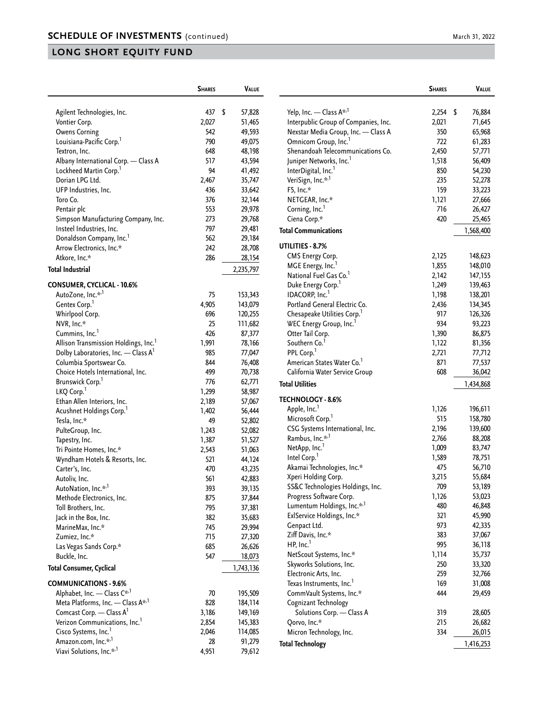|                                                 | <b>SHARES</b> | VALUE        |
|-------------------------------------------------|---------------|--------------|
|                                                 |               |              |
| Agilent Technologies, Inc.                      | 437           | \$<br>57,828 |
| Vontier Corp.                                   | 2,027         | 51,465       |
| <b>Owens Corning</b>                            | 542           | 49,593       |
| Louisiana-Pacific Corp. <sup>1</sup>            | 790           | 49,075       |
| Textron, Inc.                                   | 648           | 48,198       |
| Albany International Corp. - Class A            | 517           | 43,594       |
| Lockheed Martin Corp. <sup>1</sup>              | 94            | 41,492       |
| Dorian LPG Ltd.                                 | 2,467         | 35,747       |
| UFP Industries, Inc.                            | 436           | 33,642       |
| Toro Co.                                        | 376           | 32,144       |
| Pentair plc                                     | 553           | 29,978       |
| Simpson Manufacturing Company, Inc.             | 273           | 29,768       |
| Insteel Industries, Inc.                        | 797           | 29,481       |
| Donaldson Company, Inc.                         | 562           | 29,184       |
| Arrow Electronics, Inc.*                        | 242           | 28,708       |
| Atkore, Inc.*                                   | 286           | 28,154       |
| Total Industrial                                |               | 2,235,797    |
| CONSUMER, CYCLICAL - 10.6%                      |               |              |
| AutoZone, Inc.* <sup>,1</sup>                   | 75            | 153,343      |
| Gentex Corp.                                    | 4,905         | 143,079      |
| Whirlpool Corp.                                 | 696           | 120,255      |
| NVR, Inc.*                                      | 25            | 111,682      |
| Cummins, Inc. <sup>1</sup>                      | 426           | 87,377       |
| Allison Transmission Holdings, Inc.             | 1,991         | 78,166       |
| Dolby Laboratories, Inc. - Class A <sup>1</sup> | 985           | 77,047       |
| Columbia Sportswear Co.                         | 844           | 76,408       |
| Choice Hotels International, Inc.               | 499           | 70,738       |
| Brunswick Corp.                                 | 776           | 62,771       |
| LKQ Corp.                                       | 1,299         | 58,987       |
| Ethan Allen Interiors, Inc.                     | 2,189         | 57,067       |
| Acushnet Holdings Corp. <sup>1</sup>            | 1,402         | 56,444       |
| Tesla, Inc.*                                    | 49            | 52,802       |
| PulteGroup, Inc.                                | 1,243         | 52,082       |
| Tapestry, Inc.                                  | 1,387         | 51,527       |
| Tri Pointe Homes, Inc.*                         | 2,543         | 51,063       |
| Wyndham Hotels & Resorts, Inc.                  | 521           | 44,124       |
| Carter's, Inc.                                  | 470           | 43,235       |
| Autoliv, Inc.                                   | 561           | 42,883       |
| AutoNation, Inc.* <sup>,1</sup>                 | 393           | 39,135       |
| Methode Electronics, Inc.                       | 875           | 37,844       |
| Toll Brothers, Inc.                             | 795           | 37,381       |
| Jack in the Box, Inc.                           | 382           | 35,683       |
| MarineMax, Inc.*                                | 745           | 29,994       |
| Zumiez, Inc.*                                   | 715           | 27,320       |
| Las Vegas Sands Corp.*                          | 685           | 26,626       |
| Buckle, Inc.                                    | 547           | 18,073       |
| Total Consumer, Cyclical                        |               | 1,743,136    |
| <b>COMMUNICATIONS - 9.6%</b>                    |               |              |
| Alphabet, Inc. - Class C <sup>*,1</sup>         | 70            | 195,509      |
| Meta Platforms, Inc. - Class A*,1               | 828           | 184,114      |
| Comcast Corp. - Class A                         | 3,186         | 149,169      |
| Verizon Communications, Inc. <sup>1</sup>       | 2,854         | 145,383      |
| Cisco Systems, Inc. <sup>1</sup>                | 2,046         | 114,085      |
| Amazon.com, Inc.* <sup>,1</sup>                 | 28            | 91,279       |
| Viavi Solutions, Inc.* <sup>,1</sup>            | 4,951         | 79,612       |

|                                                                         | <b>SHARES</b> | Value        |
|-------------------------------------------------------------------------|---------------|--------------|
|                                                                         |               |              |
| Yelp, Inc. - Class A* <sup>,1</sup>                                     | 2,254         | \$<br>76,884 |
| Interpublic Group of Companies, Inc.                                    | 2,021         | 71,645       |
| Nexstar Media Group, Inc. - Class A<br>Omnicom Group, Inc. <sup>1</sup> | 350           | 65,968       |
|                                                                         | 722           | 61,283       |
| Shenandoah Telecommunications Co.                                       | 2,450         | 57,771       |
| Juniper Networks, Inc. <sup>1</sup>                                     | 1,518         | 56,409       |
| InterDigital, Inc. <sup>1</sup>                                         | 850           | 54,230       |
| VeriSign, Inc.* <sup>,1</sup>                                           | 235           | 52,278       |
| F5, Inc.*                                                               | 159           | 33,223       |
| NETGEAR, Inc.*                                                          | 1,121         | 27,666       |
| Corning, Inc. <sup>1</sup>                                              | 716           | 26,427       |
| Ciena Corp.*                                                            | 420           | 25,465       |
| <b>Total Communications</b>                                             |               | 1,568,400    |
| UTILITIES - 8.7%                                                        |               |              |
| <b>CMS Energy Corp.</b>                                                 | 2,125         | 148,623      |
| MGE Energy, Inc. <sup>1</sup>                                           | 1,855         | 148,010      |
| National Fuel Gas Co. <sup>1</sup>                                      | 2,142         | 147,155      |
| Duke Energy Corp. <sup>1</sup>                                          | 1,249         | 139,463      |
| IDACORP, Inc.                                                           | 1,198         | 138,201      |
| Portland General Electric Co.                                           | 2,436         | 134,345      |
| Chesapeake Utilities Corp.                                              | 917           | 126,326      |
| WEC Energy Group, Inc.'                                                 | 934           | 93,223       |
| Otter Tail Corp.                                                        | 1,390         | 86,875       |
| Southern Co.                                                            | 1,122         | 81,356       |
| PPL Corp. <sup>1</sup>                                                  | 2,721         | 77,712       |
| American States Water Co.                                               | 871           | 77,537       |
| California Water Service Group                                          | 608           | 36,042       |
| <b>Total Utilities</b>                                                  |               | 1,434,868    |
| <b>TECHNOLOGY - 8.6%</b>                                                |               |              |
| Apple, Inc. <sup>1</sup>                                                | 1,126         | 196,611      |
| Microsoft Corp.                                                         | 515           | 158,780      |
| CSG Systems International, Inc.                                         | 2,196         | 139,600      |
| Rambus, Inc.* <sup>,1</sup>                                             | 2,766         | 88,208       |
| NetApp, Inc.                                                            | 1,009         | 83,747       |
| Intel Corp.                                                             | 1,589         | 78,751       |
| Akamai Technologies, Inc.*                                              | 475           | 56,710       |
| Xperi Holding Corp.                                                     | 3,215         | 55,684       |
| SS&C Technologies Holdings, Inc.                                        | 709           | 53,189       |
| Progress Software Corp.                                                 | 1,126         | 53,023       |
| Lumentum Holdings, Inc.* <sup>,1</sup>                                  | 480           | 46,848       |
| ExlService Holdings, Inc.*                                              | 321           | 45,990       |
| Genpact Ltd.                                                            | 973           | 42,335       |
| Ziff Davis, Inc.*                                                       | 383           | 37,067       |
| HP, Inc. <sup>1</sup>                                                   | 995           | 36,118       |
| NetScout Systems, Inc.*                                                 | 1,114         | 35,737       |
| Skyworks Solutions, Inc.                                                | 250           | 33,320       |
| Electronic Arts, Inc.                                                   | 259           | 32,766       |
| Texas Instruments, Inc. <sup>1</sup>                                    | 169           | 31,008       |
| CommVault Systems, Inc.*                                                | 444           | 29,459       |
| Cognizant Technology                                                    |               |              |
| Solutions Corp. - Class A                                               | 319           | 28,605       |
| Qorvo, Inc.*                                                            | 215           | 26,682       |
| Micron Technology, Inc.                                                 | 334           | 26,015       |
| <b>Total Technology</b>                                                 |               | 1,416,253    |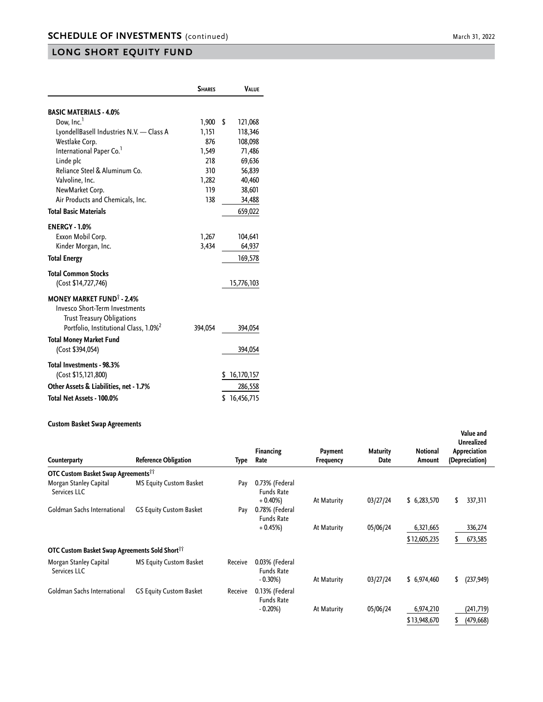|                                                                                                                           | <b>SHARES</b> | <b>VALUE</b>     |
|---------------------------------------------------------------------------------------------------------------------------|---------------|------------------|
| <b>BASIC MATERIALS - 4.0%</b>                                                                                             |               |                  |
| Dow, Inc. <sup>1</sup>                                                                                                    | 1,900         | \$<br>121,068    |
| LyondellBasell Industries N.V. - Class A                                                                                  | 1,151         | 118,346          |
| Westlake Corp.                                                                                                            | 876           | 108,098          |
| International Paper Co. <sup>1</sup>                                                                                      | 1,549         | 71,486           |
| Linde plc                                                                                                                 | 218           | 69,636           |
| Reliance Steel & Aluminum Co.                                                                                             | 310           | 56,839           |
| Valvoline, Inc.                                                                                                           | 1,282         | 40,460           |
| NewMarket Corp.                                                                                                           | 119           | 38,601           |
| Air Products and Chemicals, Inc.                                                                                          | 138           | 34,488           |
| <b>Total Basic Materials</b>                                                                                              |               | 659,022          |
| <b>ENERGY - 1.0%</b>                                                                                                      |               |                  |
| Exxon Mobil Corp.                                                                                                         | 1,267         | 104,641          |
| Kinder Morgan, Inc.                                                                                                       | 3,434         | 64,937           |
| <b>Total Energy</b>                                                                                                       |               | 169,578          |
| <b>Total Common Stocks</b>                                                                                                |               |                  |
| (Cost \$14,727,746)                                                                                                       |               | 15,776,103       |
| <b>MONEY MARKET FUND<sup>1</sup> - 2.4%</b><br><b>Invesco Short-Term Investments</b><br><b>Trust Treasury Obligations</b> |               |                  |
| Portfolio, Institutional Class, 1.0% <sup>2</sup>                                                                         | 394,054       | 394,054          |
| <b>Total Money Market Fund</b><br>(Cost \$394,054)                                                                        |               | 394,054          |
| Total Investments - 98.3%                                                                                                 |               |                  |
| (Cost \$15,121,800)                                                                                                       |               | 16,170,157<br>S  |
| Other Assets & Liabilities, net - 1.7%                                                                                    |               | 286,558          |
| Total Net Assets - 100.0%                                                                                                 |               | 16,456,715<br>\$ |

#### **Custom Basket Swap Agreements**

| Counterparty                                               | <b>Reference Obligation</b>    | Type    | <b>Financing</b><br>Rate                          | Payment<br>Frequency | <b>Maturity</b><br>Date | <b>Notional</b><br>Amount | Value and<br><b>Unrealized</b><br>Appreciation<br>(Depreciation) |
|------------------------------------------------------------|--------------------------------|---------|---------------------------------------------------|----------------------|-------------------------|---------------------------|------------------------------------------------------------------|
| OTC Custom Basket Swap Agreements <sup>11</sup>            |                                |         |                                                   |                      |                         |                           |                                                                  |
| Morgan Stanley Capital<br>Services LLC                     | <b>MS Equity Custom Basket</b> | Pay     | 0.73% (Federal<br><b>Funds Rate</b><br>$+0.40\%)$ | At Maturity          | 03/27/24                | \$6,283,570               | 337,311<br>\$                                                    |
| Goldman Sachs International                                | <b>GS Equity Custom Basket</b> | Pay     | 0.78% (Federal<br><b>Funds Rate</b>               |                      |                         |                           |                                                                  |
|                                                            |                                |         | $+0.45%$                                          | At Maturity          | 05/06/24                | 6,321,665<br>\$12,605,235 | 336,274<br>673,585                                               |
| OTC Custom Basket Swap Agreements Sold Short <sup>11</sup> |                                |         |                                                   |                      |                         |                           |                                                                  |
| Morgan Stanley Capital<br>Services LLC                     | <b>MS Equity Custom Basket</b> | Receive | 0.03% (Federal<br><b>Funds Rate</b><br>$-0.30%$   | At Maturity          | 03/27/24                | \$6,974,460               | \$<br>(237, 949)                                                 |
| Goldman Sachs International                                | <b>GS Equity Custom Basket</b> | Receive | 0.13% (Federal<br><b>Funds Rate</b>               |                      |                         |                           |                                                                  |
|                                                            |                                |         | $-0.20%$                                          | At Maturity          | 05/06/24                | 6,974,210                 | (241,719)                                                        |
|                                                            |                                |         |                                                   |                      |                         | \$13,948,670              | (479, 668)                                                       |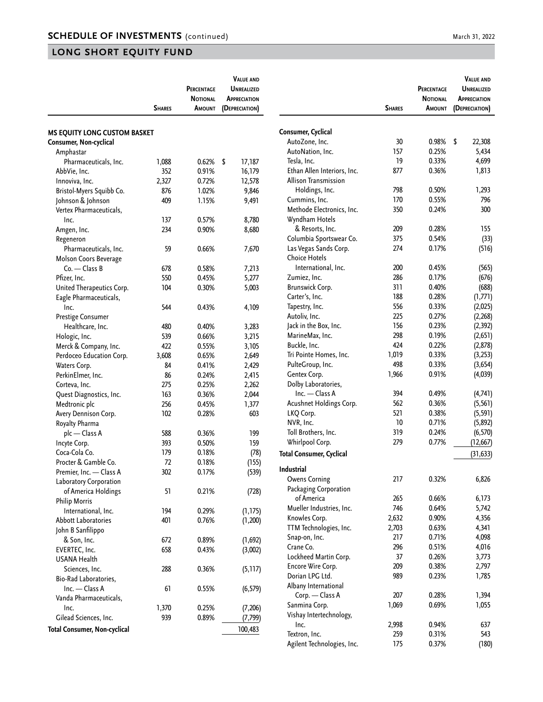|                                                               |               | PERCENTAGE<br><b>NOTIONAL</b> | <b>VALUE AND</b><br><b>UNREALIZED</b><br><b>APPRECIATION</b> |
|---------------------------------------------------------------|---------------|-------------------------------|--------------------------------------------------------------|
|                                                               | <b>SHARES</b> | <b>A</b> MOUNT                | (DEPRECIATION)                                               |
| <b>MS EQUITY LONG CUSTOM BASKET</b><br>Consumer, Non-cyclical |               |                               |                                                              |
| Amphastar                                                     |               |                               |                                                              |
| Pharmaceuticals, Inc.                                         | 1,088         | 0.62%                         | \$<br>17,187                                                 |
| AbbVie, Inc.                                                  | 352           | 0.91%                         | 16,179                                                       |
| Innoviva, Inc.                                                | 2,327         | 0.72%                         | 12,578                                                       |
| Bristol-Myers Squibb Co.                                      | 876           | 1.02%                         | 9,846                                                        |
| Johnson & Johnson                                             | 409           | 1.15%                         | 9,491                                                        |
| Vertex Pharmaceuticals,                                       |               |                               |                                                              |
| Inc.                                                          | 137           | 0.57%                         | 8,780                                                        |
| Amgen, Inc.                                                   | 234           | 0.90%                         | 8,680                                                        |
| Regeneron                                                     |               |                               |                                                              |
| Pharmaceuticals, Inc.                                         | 59            | 0.66%                         | 7,670                                                        |
| Molson Coors Beverage                                         |               |                               |                                                              |
| Co. — Class B                                                 | 678           | 0.58%                         | 7,213                                                        |
| Pfizer, Inc.                                                  | 550           | 0.45%                         | 5,277                                                        |
| United Therapeutics Corp.                                     | 104           | 0.30%                         | 5,003                                                        |
| Eagle Pharmaceuticals,                                        |               |                               |                                                              |
| Inc.                                                          | 544           | 0.43%                         | 4,109                                                        |
| Prestige Consumer                                             |               |                               |                                                              |
| Healthcare, Inc.                                              | 480           | 0.40%                         | 3,283                                                        |
| Hologic, Inc.                                                 | 539           | 0.66%                         | 3,215                                                        |
| Merck & Company, Inc.                                         | 422           | 0.55%                         | 3,105                                                        |
| Perdoceo Education Corp.                                      | 3,608         | 0.65%                         | 2,649                                                        |
| Waters Corp.                                                  | 84            | 0.41%                         | 2,429                                                        |
| PerkinElmer, Inc.                                             | 86            | 0.24%                         | 2,415                                                        |
| Corteva, Inc.                                                 | 275           | 0.25%                         | 2,262                                                        |
| Quest Diagnostics, Inc.                                       | 163           | 0.36%                         | 2,044                                                        |
| Medtronic plc                                                 | 256           | 0.45%                         | 1,377                                                        |
| Avery Dennison Corp.                                          | 102           | 0.28%                         | 603                                                          |
| Royalty Pharma                                                |               |                               |                                                              |
| plc — Class A                                                 | 588           | 0.36%                         | 199                                                          |
| Incyte Corp.                                                  | 393           | 0.50%                         | 159                                                          |
| Coca-Cola Co.                                                 | 179           | 0.18%                         | (78)                                                         |
| Procter & Gamble Co.                                          | 72            | 0.18%                         | (155)                                                        |
| Premier, Inc. - Class A                                       | 302           | 0.17%                         | (539)                                                        |
| Laboratory Corporation                                        |               |                               |                                                              |
| of America Holdings<br><b>Philip Morris</b>                   | 51            | 0.21%                         | (728)                                                        |
| International, Inc.                                           | 194           | 0.29%                         | (1, 175)                                                     |
| <b>Abbott Laboratories</b>                                    | 401           | 0.76%                         | (1,200)                                                      |
| John B Sanfilippo                                             |               |                               |                                                              |
| & Son, Inc.                                                   | 672           | 0.89%                         | (1,692)                                                      |
| EVERTEC, Inc.                                                 | 658           | 0.43%                         | (3,002)                                                      |
| <b>USANA Health</b>                                           |               |                               |                                                              |
| Sciences, Inc.                                                | 288           | 0.36%                         | (5, 117)                                                     |
| Bio-Rad Laboratories,                                         |               |                               |                                                              |
| Inc. - Class A                                                | 61            | 0.55%                         | (6, 579)                                                     |
| Vanda Pharmaceuticals,                                        |               |                               |                                                              |
| Inc.                                                          | 1,370         | 0.25%                         | (7, 206)                                                     |
| Gilead Sciences, Inc.                                         | 939           | 0.89%                         | (7, 799)                                                     |
| <b>Total Consumer, Non-cyclical</b>                           |               |                               | 100,483                                                      |
|                                                               |               |                               |                                                              |

|                                 | <b>SHARES</b> | <b>PERCENTAGE</b><br><b>NOTIONAL</b><br>Amount | <b>VALUE AND</b><br><b>UNREALIZED</b><br><b>APPRECIATION</b><br>(DEPRECIATION) |
|---------------------------------|---------------|------------------------------------------------|--------------------------------------------------------------------------------|
|                                 |               |                                                |                                                                                |
| Consumer, Cyclical              |               |                                                |                                                                                |
| AutoZone, Inc.                  | 30            | 0.98%                                          | \$<br>22,308                                                                   |
| AutoNation, Inc.                | 157           | 0.25%                                          | 5,434                                                                          |
| Tesla, Inc.                     | 19            | 0.33%                                          | 4,699                                                                          |
| Ethan Allen Interiors, Inc.     | 877           | 0.36%                                          | 1,813                                                                          |
| <b>Allison Transmission</b>     |               |                                                |                                                                                |
| Holdings, Inc.                  | 798           | 0.50%                                          | 1,293                                                                          |
| Cummins, Inc.                   | 170           | 0.55%                                          | 796                                                                            |
| Methode Electronics, Inc.       | 350           | 0.24%                                          | 300                                                                            |
| Wyndham Hotels                  |               |                                                |                                                                                |
| & Resorts, Inc.                 | 209           | 0.28%                                          | 155                                                                            |
| Columbia Sportswear Co.         | 375           | 0.54%                                          | (33)                                                                           |
| Las Vegas Sands Corp.           | 274           | 0.17%                                          | (516)                                                                          |
| <b>Choice Hotels</b>            |               |                                                |                                                                                |
| International, Inc.             | 200           | 0.45%                                          | (565)                                                                          |
| Zumiez, Inc.                    | 286           | 0.17%                                          | (676)                                                                          |
| Brunswick Corp.                 | 311           | 0.40%                                          | (688)                                                                          |
| Carter's, Inc.                  | 188           | 0.28%                                          | (1,771)                                                                        |
| Tapestry, Inc.                  | 556           | 0.33%                                          | (2,025)                                                                        |
| Autoliv, Inc.                   | 225           | 0.27%                                          | (2, 268)                                                                       |
| Jack in the Box, Inc.           | 156           | 0.23%                                          | (2, 392)                                                                       |
| MarineMax, Inc.                 | 298           | 0.19%                                          | (2,651)                                                                        |
| Buckle, Inc.                    | 424           | 0.22%                                          | (2,878)                                                                        |
| Tri Pointe Homes, Inc.          | 1,019         | 0.33%                                          | (3,253)                                                                        |
| PulteGroup, Inc.                | 498           | 0.33%                                          | (3,654)                                                                        |
| Gentex Corp.                    | 1,966         | 0.91%                                          | (4,039)                                                                        |
| Dolby Laboratories,             |               |                                                |                                                                                |
| Inc. - Class A                  | 394           | 0.49%                                          | (4,741)                                                                        |
| Acushnet Holdings Corp.         | 562           | 0.36%                                          | (5, 561)                                                                       |
| LKQ Corp.                       | 521           | 0.38%                                          | (5, 591)                                                                       |
| NVR, Inc.                       | 10            | 0.71%                                          | (5,892)                                                                        |
| Toll Brothers, Inc.             | 319           | 0.24%                                          | (6, 570)                                                                       |
| Whirlpool Corp.                 | 279           | 0.77%                                          | (12, 667)                                                                      |
| <b>Total Consumer, Cyclical</b> |               |                                                | (31, 633)                                                                      |
| Industrial                      |               |                                                |                                                                                |
| <b>Owens Corning</b>            | 217           | 0.32%                                          | 6,826                                                                          |
| Packaging Corporation           |               |                                                |                                                                                |
| of America                      | 265           | 0.66%                                          | 6,173                                                                          |
| Mueller Industries, Inc.        | 746           | 0.64%                                          | 5,742                                                                          |
| Knowles Corp.                   | 2,632         | 0.90%                                          | 4,356                                                                          |
| TTM Technologies, Inc.          | 2,703         | 0.63%                                          | 4,341                                                                          |
| Snap-on, Inc.                   | 217           | 0.71%                                          | 4,098                                                                          |
| Crane Co.                       | 296           | 0.51%                                          | 4,016                                                                          |
| Lockheed Martin Corp.           | 37            | 0.26%                                          | 3,773                                                                          |
| Encore Wire Corp.               | 209           | 0.38%                                          | 2,797                                                                          |
| Dorian LPG Ltd.                 | 989           | 0.23%                                          | 1,785                                                                          |
| Albany International            |               |                                                |                                                                                |
| Corp. - Class A                 | 207           | 0.28%                                          | 1,394                                                                          |
| Sanmina Corp.                   | 1,069         | 0.69%                                          | 1,055                                                                          |
| Vishay Intertechnology,         |               |                                                |                                                                                |
| Inc.                            | 2,998         | 0.94%                                          | 637                                                                            |
| Textron, Inc.                   | 259           | 0.31%                                          | 543                                                                            |
| Agilent Technologies, Inc.      | 175           | 0.37%                                          | (180)                                                                          |
|                                 |               |                                                |                                                                                |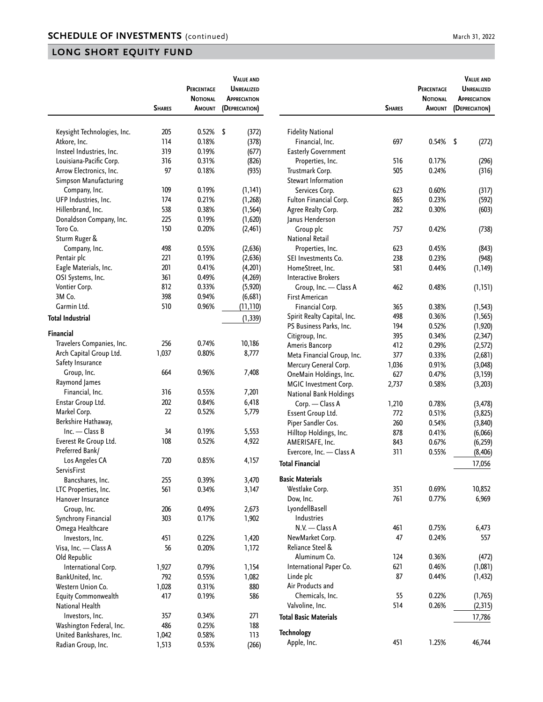|                                         | <b>SHARES</b> | PERCENTAGE<br><b>NOTIONAL</b><br>AMOUNT | <b>VALUE AND</b><br><b>UNREALIZED</b><br><b>APPRECIATION</b><br>(DEPRECIATION) |                                     | <b>SHARES</b> | PERCENTAGE<br><b>NOTIONAL</b><br>AMOUNT | <b>VALUE AND</b><br><b>UNREALIZED</b><br><b>APPRECIATION</b><br>(DEPRECIATION) |
|-----------------------------------------|---------------|-----------------------------------------|--------------------------------------------------------------------------------|-------------------------------------|---------------|-----------------------------------------|--------------------------------------------------------------------------------|
|                                         |               |                                         |                                                                                |                                     |               |                                         |                                                                                |
| Keysight Technologies, Inc.             | 205           | 0.52%                                   | \$<br>(372)                                                                    | <b>Fidelity National</b>            |               |                                         |                                                                                |
| Atkore, Inc.                            | 114           | 0.18%                                   | (378)                                                                          | Financial, Inc.                     | 697           | 0.54%                                   | \$<br>(272)                                                                    |
| Insteel Industries, Inc.                | 319           | 0.19%                                   | (677)                                                                          | <b>Easterly Government</b>          |               |                                         |                                                                                |
| Louisiana-Pacific Corp.                 | 316           | 0.31%                                   | (826)                                                                          | Properties, Inc.                    | 516           | 0.17%                                   | (296)                                                                          |
| Arrow Electronics, Inc.                 | 97            | 0.18%                                   | (935)                                                                          | Trustmark Corp.                     | 505           | 0.24%                                   | (316)                                                                          |
| Simpson Manufacturing                   |               |                                         |                                                                                | Stewart Information                 |               |                                         |                                                                                |
| Company, Inc.                           | 109           | 0.19%                                   | (1, 141)                                                                       | Services Corp.                      | 623           | 0.60%                                   | (317)                                                                          |
| UFP Industries, Inc.                    | 174           | 0.21%                                   | (1, 268)                                                                       | Fulton Financial Corp.              | 865           | 0.23%                                   | (592)                                                                          |
| Hillenbrand, Inc.                       | 538           | 0.38%                                   | (1, 564)                                                                       | Agree Realty Corp.                  | 282           | 0.30%                                   | (603)                                                                          |
| Donaldson Company, Inc.                 | 225           | 0.19%                                   | (1,620)                                                                        | Janus Henderson                     |               |                                         |                                                                                |
| Toro Co.                                | 150           | 0.20%                                   | (2, 461)                                                                       | Group plc                           | 757           | 0.42%                                   | (738)                                                                          |
| Sturm Ruger &                           |               |                                         |                                                                                | <b>National Retail</b>              |               |                                         |                                                                                |
| Company, Inc.                           | 498           | 0.55%                                   | (2,636)                                                                        | Properties, Inc.                    | 623           | 0.45%                                   | (843)                                                                          |
| Pentair plc                             | 221           | 0.19%                                   | (2,636)                                                                        | SEI Investments Co.                 | 238           | 0.23%                                   | (948)                                                                          |
| Eagle Materials, Inc.                   | 201           | 0.41%                                   | (4,201)                                                                        | HomeStreet. Inc.                    | 581           | 0.44%                                   | (1, 149)                                                                       |
| OSI Systems, Inc.                       | 361           | 0.49%                                   | (4,269)                                                                        | <b>Interactive Brokers</b>          |               |                                         |                                                                                |
| Vontier Corp.                           | 812           | 0.33%                                   | (5,920)                                                                        | Group, Inc. - Class A               | 462           | 0.48%                                   | (1, 151)                                                                       |
| 3M Co.                                  | 398           | 0.94%                                   | (6,681)                                                                        | <b>First American</b>               |               |                                         |                                                                                |
| Garmin Ltd.                             | 510           | 0.96%                                   | (11,110)                                                                       | Financial Corp.                     | 365           | 0.38%                                   | (1, 543)                                                                       |
| <b>Total Industrial</b>                 |               |                                         | (1, 339)                                                                       | Spirit Realty Capital, Inc.         | 498           | 0.36%                                   | (1, 565)                                                                       |
| Financial                               |               |                                         |                                                                                | PS Business Parks, Inc.             | 194           | 0.52%                                   | (1, 920)                                                                       |
| Travelers Companies, Inc.               | 256           | 0.74%                                   | 10,186                                                                         | Citigroup, Inc.                     | 395           | 0.34%                                   | (2, 347)                                                                       |
| Arch Capital Group Ltd.                 | 1,037         | 0.80%                                   | 8,777                                                                          | Ameris Bancorp                      | 412           | 0.29%                                   | (2, 572)                                                                       |
| Safety Insurance                        |               |                                         |                                                                                | Meta Financial Group, Inc.          | 377           | 0.33%                                   | (2,681)                                                                        |
| Group, Inc.                             | 664           | 0.96%                                   | 7,408                                                                          | Mercury General Corp.               | 1,036         | 0.91%                                   | (3,048)                                                                        |
| Raymond James                           |               |                                         |                                                                                | OneMain Holdings, Inc.              | 627           | 0.47%                                   | (3, 159)                                                                       |
|                                         | 316           | 0.55%                                   |                                                                                | MGIC Investment Corp.               | 2,737         | 0.58%                                   | (3,203)                                                                        |
| Financial, Inc.                         |               |                                         | 7,201                                                                          | <b>National Bank Holdings</b>       |               |                                         |                                                                                |
| Enstar Group Ltd.                       | 202           | 0.84%                                   | 6,418                                                                          | Corp. - Class A                     | 1,210         | 0.78%                                   | (3, 478)                                                                       |
| Markel Corp.                            | 22            | 0.52%                                   | 5,779                                                                          | Essent Group Ltd.                   | 772           | 0.51%                                   | (3,825)                                                                        |
| Berkshire Hathaway,<br>$Inc. - Class B$ |               |                                         |                                                                                | Piper Sandler Cos.                  | 260           | 0.54%                                   | (3, 840)                                                                       |
|                                         | 34            | 0.19%                                   | 5,553                                                                          | Hilltop Holdings, Inc.              | 878           | 0.41%                                   | (6,066)                                                                        |
| Everest Re Group Ltd.                   | 108           | 0.52%                                   | 4,922                                                                          | AMERISAFE, Inc.                     | 843           | 0.67%                                   | (6, 259)                                                                       |
| Preferred Bank/                         |               |                                         |                                                                                | Evercore, Inc. - Class A            | 311           | 0.55%                                   | (8, 406)                                                                       |
| Los Angeles CA                          | 720           | 0.85%                                   | 4,157                                                                          | <b>Total Financial</b>              |               |                                         | 17,056                                                                         |
| ServisFirst                             |               |                                         |                                                                                | <b>Basic Materials</b>              |               |                                         |                                                                                |
| Bancshares, Inc.                        | 255           | 0.39%                                   | 3,470                                                                          | Westlake Corp.                      | 351           | 0.69%                                   | 10,852                                                                         |
| LTC Properties, Inc.                    | 561           | 0.34%                                   | 3,147                                                                          |                                     | 761           | 0.77%                                   | 6,969                                                                          |
| Hanover Insurance                       |               |                                         |                                                                                | Dow, Inc.                           |               |                                         |                                                                                |
| Group, Inc.                             | 206           | 0.49%                                   | 2,673                                                                          | LyondellBasell<br>Industries        |               |                                         |                                                                                |
| Synchrony Financial                     | 303           | 0.17%                                   | 1,902                                                                          | N.V. - Class A                      |               | 0.75%                                   |                                                                                |
| Omega Healthcare                        |               |                                         |                                                                                |                                     | 461           |                                         | 6,473                                                                          |
| Investors, Inc.                         | 451           | 0.22%                                   | 1,420                                                                          | NewMarket Corp.<br>Reliance Steel & | 47            | 0.24%                                   | 557                                                                            |
| Visa, Inc. - Class A                    | 56            | 0.20%                                   | 1,172                                                                          |                                     |               |                                         |                                                                                |
| Old Republic                            |               |                                         |                                                                                | Aluminum Co.                        | 124           | 0.36%                                   | (472)                                                                          |
| International Corp.                     | 1,927         | 0.79%                                   | 1,154                                                                          | International Paper Co.             | 621           | 0.46%                                   | (1,081)                                                                        |
| BankUnited, Inc.                        | 792           | 0.55%                                   | 1,082                                                                          | Linde plc                           | 87            | 0.44%                                   | (1, 432)                                                                       |
| Western Union Co.                       | 1,028         | 0.31%                                   | 880                                                                            | Air Products and                    |               |                                         |                                                                                |
| Equity Commonwealth                     | 417           | 0.19%                                   | 586                                                                            | Chemicals, Inc.                     | 55            | 0.22%                                   | (1,765)                                                                        |
| National Health                         |               |                                         |                                                                                | Valvoline, Inc.                     | 514           | 0.26%                                   | (2, 315)                                                                       |
| Investors, Inc.                         | 357           | 0.34%                                   | 271                                                                            | <b>Total Basic Materials</b>        |               |                                         | 17,786                                                                         |
| Washington Federal, Inc.                | 486           | 0.25%                                   | 188                                                                            | <b>Technology</b>                   |               |                                         |                                                                                |
| United Bankshares, Inc.                 | 1,042         | 0.58%                                   | 113                                                                            | Apple, Inc.                         | 451           | 1.25%                                   | 46,744                                                                         |
| Radian Group, Inc.                      | 1,513         | 0.53%                                   | (266)                                                                          |                                     |               |                                         |                                                                                |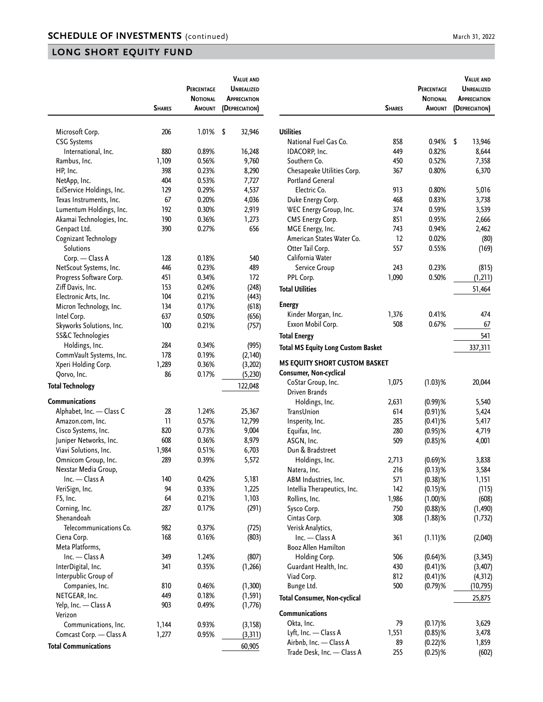|                             |               | PERCENTAGE      | <b>VALUE AND</b><br><b>UNREALIZED</b> |
|-----------------------------|---------------|-----------------|---------------------------------------|
|                             |               | <b>NOTIONAL</b> | <b>APPRECIATION</b>                   |
|                             | <b>SHARES</b> | Amount          | (DEPRECIATION)                        |
|                             |               |                 |                                       |
| Microsoft Corp.             | 206           | 1.01%           | \$<br>32,946                          |
| <b>CSG Systems</b>          |               |                 |                                       |
| International, Inc.         | 880           | 0.89%           | 16,248                                |
| Rambus, Inc.                | 1,109         | 0.56%           | 9,760                                 |
| HP, Inc.                    | 398           | 0.23%           | 8,290                                 |
| NetApp, Inc.                | 404           | 0.53%           | 7,727                                 |
| ExlService Holdings, Inc.   | 129           | 0.29%           | 4,537                                 |
| Texas Instruments, Inc.     | 67            | 0.20%           | 4,036                                 |
| Lumentum Holdings, Inc.     | 192           | 0.30%           | 2,919                                 |
| Akamai Technologies, Inc.   | 190           | 0.36%           | 1,273                                 |
| Genpact Ltd.                | 390           | 0.27%           | 656                                   |
| Cognizant Technology        |               |                 |                                       |
| Solutions                   |               |                 |                                       |
| Corp. - Class A             | 128           | 0.18%           | 540                                   |
| NetScout Systems, Inc.      | 446           | 0.23%           | 489                                   |
| Progress Software Corp.     | 451           | 0.34%           | 172                                   |
| Ziff Davis, Inc.            | 153           | 0.24%           | (248)                                 |
| Electronic Arts, Inc.       | 104           | 0.21%           | (443)                                 |
| Micron Technology, Inc.     | 134           | 0.17%           | (618)                                 |
| Intel Corp.                 | 637           | 0.50%           | (656)                                 |
| Skyworks Solutions, Inc.    | 100           | 0.21%           | (757)                                 |
| SS&C Technologies           |               |                 |                                       |
| Holdings, Inc.              | 284           | 0.34%           | (995)                                 |
| CommVault Systems, Inc.     | 178           | 0.19%           | (2,140)                               |
| Xperi Holding Corp.         | 1,289         | 0.36%           | (3, 202)                              |
| Qorvo, Inc.                 | 86            | 0.17%           | (5, 230)                              |
| <b>Total Technology</b>     |               |                 | 122,048                               |
| <b>Communications</b>       |               |                 |                                       |
| Alphabet, Inc. - Class C    | 28            | 1.24%           | 25,367                                |
| Amazon.com, Inc.            | 11            | 0.57%           | 12,799                                |
| Cisco Systems, Inc.         | 820           | 0.73%           | 9,004                                 |
| Juniper Networks, Inc.      | 608           | 0.36%           | 8,979                                 |
| Viavi Solutions, Inc.       | 1,984         | 0.51%           | 6,703                                 |
| Omnicom Group, Inc.         | 289           | 0.39%           | 5,572                                 |
| Nexstar Media Group,        |               |                 |                                       |
| Inc. - Class A              | 140           | 0.42%           | 5,181                                 |
| VeriSign, Inc.              | 94            | 0.33%           | 1,225                                 |
| F5, Inc.                    | 64            | 0.21%           | 1,103                                 |
| Corning, Inc.               | 287           | 0.17%           | (291)                                 |
| Shenandoah                  |               |                 |                                       |
| Telecommunications Co.      | 982           | 0.37%           | (725)                                 |
| Ciena Corp.                 | 168           | 0.16%           | (803)                                 |
| Meta Platforms,             |               |                 |                                       |
| Inc. - Class A              | 349           | 1.24%           | (807)                                 |
| InterDigital, Inc.          | 341           | 0.35%           | (1, 266)                              |
| Interpublic Group of        |               |                 |                                       |
| Companies, Inc.             | 810           | 0.46%           | (1, 300)                              |
| NETGEAR, Inc.               | 449           | 0.18%           | (1, 591)                              |
| Yelp, Inc. - Class A        | 903           | 0.49%           | (1,776)                               |
| Verizon                     |               |                 |                                       |
| Communications, Inc.        | 1,144         | 0.93%           | (3, 158)                              |
| Comcast Corp. - Class A     | 1,277         | 0.95%           | (3, 311)                              |
| <b>Total Communications</b> |               |                 | 60,905                                |
|                             |               |                 |                                       |

|                                                                | <b>SHARES</b> | PERCENTAGE<br><b>NOTIONAL</b><br>Amount | <b>VALUE AND</b><br><b>UNREALIZED</b><br><b>APPRECIATION</b><br>(DEPRECIATION) |
|----------------------------------------------------------------|---------------|-----------------------------------------|--------------------------------------------------------------------------------|
|                                                                |               |                                         |                                                                                |
| Utilities                                                      |               |                                         |                                                                                |
| National Fuel Gas Co.                                          | 858           | 0.94%                                   | \$<br>13,946                                                                   |
| IDACORP, Inc.                                                  | 449           | 0.82%                                   | 8,644                                                                          |
| Southern Co.                                                   | 450           | 0.52%                                   | 7,358                                                                          |
| Chesapeake Utilities Corp.                                     | 367           | 0.80%                                   | 6,370                                                                          |
| <b>Portland General</b>                                        |               |                                         |                                                                                |
| Electric Co.                                                   | 913           | 0.80%                                   | 5,016                                                                          |
| Duke Energy Corp.                                              | 468           | 0.83%                                   | 3,738                                                                          |
| WEC Energy Group, Inc.                                         | 374           | 0.59%                                   | 3,539                                                                          |
| <b>CMS Energy Corp.</b>                                        | 851           | 0.95%                                   | 2,666                                                                          |
| MGE Energy, Inc.                                               | 743           | 0.94%                                   | 2,462                                                                          |
| American States Water Co.                                      | 12            | 0.02%                                   | (80)                                                                           |
| Otter Tail Corp.                                               | 557           | 0.55%                                   | (169)                                                                          |
| California Water                                               |               |                                         |                                                                                |
| Service Group                                                  | 243           | 0.23%                                   | (815)                                                                          |
| PPL Corp.                                                      | 1,090         | 0.50%                                   |                                                                                |
|                                                                |               |                                         | (1, 211)                                                                       |
| <b>Total Utilities</b>                                         |               |                                         | 51,464                                                                         |
| <b>Energy</b>                                                  |               |                                         |                                                                                |
| Kinder Morgan, Inc.                                            | 1,376         | 0.41%                                   | 474                                                                            |
| Exxon Mobil Corp.                                              | 508           | 0.67%                                   | 67                                                                             |
| <b>Total Energy</b>                                            |               |                                         | 541                                                                            |
| <b>Total MS Equity Long Custom Basket</b>                      |               |                                         | 337,311                                                                        |
|                                                                |               |                                         |                                                                                |
| <b>MS EQUITY SHORT CUSTOM BASKET</b><br>Consumer, Non-cyclical |               |                                         |                                                                                |
| CoStar Group, Inc.                                             | 1,075         | $(1.03)$ %                              | 20,044                                                                         |
| Driven Brands                                                  |               |                                         |                                                                                |
| Holdings, Inc.                                                 | 2,631         | $(0.99)$ %                              | 5,540                                                                          |
| TransUnion                                                     | 614           | $(0.91)$ %                              | 5,424                                                                          |
| Insperity, Inc.                                                | 285           | $(0.41)$ %                              | 5,417                                                                          |
| Equifax, Inc.                                                  | 280           | $(0.95)$ %                              | 4,719                                                                          |
| ASGN, Inc.                                                     | 509           | $(0.85)$ %                              | 4,001                                                                          |
| Dun & Bradstreet                                               |               |                                         |                                                                                |
|                                                                |               |                                         |                                                                                |
| Holdings, Inc.                                                 | 2,713         | $(0.69)$ %                              | 3,838                                                                          |
| Natera, Inc.                                                   | 216           | $(0.13)$ %                              | 3,584                                                                          |
| ABM Industries, Inc.                                           | 571           | $(0.38)$ %                              | 1,151                                                                          |
| Intellia Therapeutics, Inc.                                    | 142           | $(0.15)$ %                              | (115)                                                                          |
| Rollins, Inc.                                                  | 1,986         | $(1.00)$ %                              | (608)                                                                          |
| Sysco Corp.                                                    | 750           | $(0.88)$ %                              | (1, 490)                                                                       |
| Cintas Corp.                                                   | 308           | $(1.88)$ %                              | (1, 732)                                                                       |
| Verisk Analytics,                                              |               |                                         |                                                                                |
| Inc. - Class A                                                 | 361           | $(1.11)$ %                              | (2,040)                                                                        |
| Booz Allen Hamilton                                            |               |                                         |                                                                                |
| Holding Corp.                                                  | 506           | $(0.64)$ %                              | (3, 345)                                                                       |
| Guardant Health, Inc.                                          | 430           | $(0.41)$ %                              | (3, 407)                                                                       |
| Viad Corp.                                                     | 812           | $(0.41)$ %                              | (4, 312)                                                                       |
| Bunge Ltd.                                                     | 500           | $(0.79)$ %                              | (10, 795)                                                                      |
| <b>Total Consumer, Non-cyclical</b>                            |               |                                         | 25,875                                                                         |
| Communications                                                 |               |                                         |                                                                                |
| Okta, Inc.                                                     | 79            | $(0.17)$ %                              | 3,629                                                                          |
| Lyft, Inc. - Class A                                           | 1,551         | $(0.85)$ %                              | 3,478                                                                          |
| Airbnb, Inc. - Class A                                         | 89            | $(0.22)$ %                              | 1,859                                                                          |
| Trade Desk, Inc. - Class A                                     | 255           | $(0.25)$ %                              | (602)                                                                          |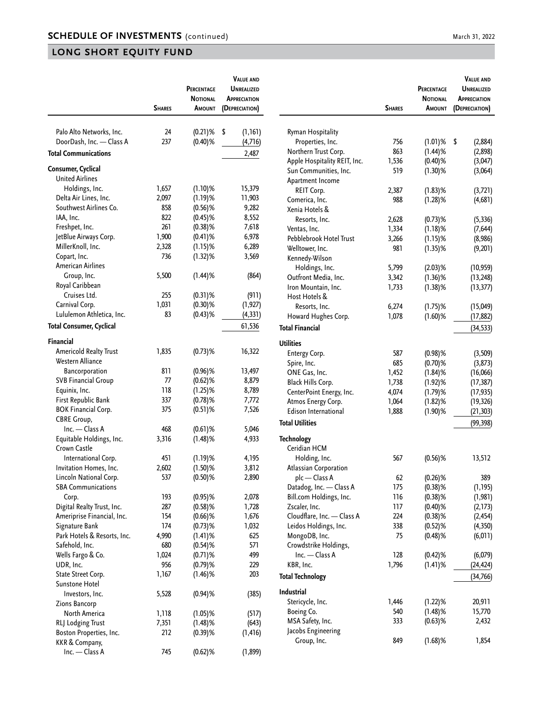|                             | <b>SHARES</b> | PERCENTAGE<br><b>NOTIONAL</b><br>AMOUNT | <b>VALUE AND</b><br><b>UNREALIZED</b><br><b>APPRECIATION</b><br>(DEPRECIATION) |                              | <b>SHARES</b> | PERCENTAGE<br><b>NOTIONAL</b><br>AMOUNT | <b>VALUE AND</b><br><b>UNREALIZED</b><br>APPRECIATION<br>(DEPRECIATION) |
|-----------------------------|---------------|-----------------------------------------|--------------------------------------------------------------------------------|------------------------------|---------------|-----------------------------------------|-------------------------------------------------------------------------|
| Palo Alto Networks, Inc.    | 24            | $(0.21)$ %                              | \$<br>(1, 161)                                                                 | Ryman Hospitality            |               |                                         |                                                                         |
| DoorDash, Inc. - Class A    | 237           | $(0.40)$ %                              | (4,716)                                                                        | Properties, Inc.             | 756           | $(1.01)$ % \$                           | (2,884)                                                                 |
| <b>Total Communications</b> |               |                                         | 2,487                                                                          | Northern Trust Corp.         | 863           | $(1.44)$ %                              | (2,898)                                                                 |
|                             |               |                                         |                                                                                | Apple Hospitality REIT, Inc. | 1,536         | $(0.40)$ %                              | (3,047)                                                                 |
| Consumer, Cyclical          |               |                                         |                                                                                | Sun Communities, Inc.        | 519           | $(1.30)$ %                              | (3,064)                                                                 |
| <b>United Airlines</b>      |               |                                         |                                                                                | Apartment Income             |               |                                         |                                                                         |
| Holdings, Inc.              | 1,657         | $(1.10)$ %                              | 15,379                                                                         | REIT Corp.                   | 2,387         | $(1.83)$ %                              | (3,721)                                                                 |
| Delta Air Lines, Inc.       | 2,097         | $(1.19)$ %                              | 11,903                                                                         | Comerica, Inc.               | 988           | $(1.28)$ %                              | (4,681)                                                                 |
| Southwest Airlines Co.      | 858           | $(0.56)$ %                              | 9,282                                                                          | Xenia Hotels &               |               |                                         |                                                                         |
| IAA, Inc.                   | 822           | $(0.45)$ %                              | 8,552                                                                          | Resorts, Inc.                | 2,628         | $(0.73)$ %                              | (5, 336)                                                                |
| Freshpet, Inc.              | 261           | $(0.38)$ %                              | 7,618                                                                          | Ventas, Inc.                 | 1,334         | $(1.18)$ %                              | (7, 644)                                                                |
| JetBlue Airways Corp.       | 1,900         | $(0.41)$ %                              | 6,978                                                                          | Pebblebrook Hotel Trust      | 3,266         | $(1.15)$ %                              | (8,986)                                                                 |
| MillerKnoll, Inc.           | 2,328         | $(1.15)$ %                              | 6,289                                                                          | Welltower, Inc.              |               | $(1.35)$ %                              | (9,201)                                                                 |
| Copart, Inc.                | 736           | $(1.32)$ %                              |                                                                                | 3,569<br>Kennedy-Wilson      |               |                                         |                                                                         |
| American Airlines           |               |                                         |                                                                                | Holdings, Inc.               | 5,799         | $(2.03)$ %                              | (10, 959)                                                               |
| Group, Inc.                 | 5,500         | $(1.44)$ %                              | (864)                                                                          | Outfront Media, Inc.         | 3,342         | $(1.36)$ %                              | (13, 248)                                                               |
| Royal Caribbean             |               |                                         |                                                                                | Iron Mountain, Inc.          | 1,733         | $(1.38)$ %                              | (13, 377)                                                               |
| Cruises Ltd.                | 255           | $(0.31)$ %                              | (911)                                                                          | Host Hotels &                |               |                                         |                                                                         |
| Carnival Corp.              | 1,031         | $(0.30)$ %                              | (1, 927)                                                                       | Resorts, Inc.                | 6,274         | $(1.75)$ %                              | (15,049)                                                                |
| Lululemon Athletica, Inc.   | 83            | $(0.43)$ %                              | (4, 331)                                                                       | Howard Hughes Corp.          | 1,078         | $(1.60)$ %                              | (17, 882)                                                               |
| Total Consumer, Cyclical    |               |                                         | 61,536                                                                         | <b>Total Financial</b>       |               |                                         | (34, 533)                                                               |
| Financial                   |               |                                         |                                                                                | <b>Utilities</b>             |               |                                         |                                                                         |
| Americold Realty Trust      | 1,835         | $(0.73)$ %                              | 16,322                                                                         | Entergy Corp.                | 587           | $(0.98)$ %                              | (3,509)                                                                 |
| Western Alliance            |               |                                         |                                                                                | Spire, Inc.                  | 685           | $(0.70)$ %                              | (3, 873)                                                                |
| Bancorporation              | 811           | $(0.96)$ %                              | 13,497                                                                         | ONE Gas, Inc.                | 1,452         | $(1.84)$ %                              | (16,066)                                                                |
| <b>SVB Financial Group</b>  | 77            | $(0.62)$ %                              | 8,879                                                                          | Black Hills Corp.            | 1,738         | $(1.92)$ %                              | (17, 387)                                                               |
| Equinix, Inc.               | 118           | $(1.25)$ %                              | 8,789                                                                          | CenterPoint Energy, Inc.     | 4,074         | $(1.79)$ %                              | (17, 935)                                                               |
| First Republic Bank         | 337           | $(0.78)$ %                              | 7,772                                                                          | Atmos Energy Corp.           | 1,064         | $(1.82)$ %                              | (19, 326)                                                               |
| <b>BOK Financial Corp.</b>  | 375           | $(0.51)$ %                              | 7,526                                                                          | Edison International         | 1,888         | $(1.90)$ %                              | (21, 303)                                                               |
| <b>CBRE Group,</b>          |               |                                         |                                                                                |                              |               |                                         |                                                                         |
| Inc. - Class A              | 468           | $(0.61)$ %                              | 5,046                                                                          | <b>Total Utilities</b>       |               |                                         | (99, 398)                                                               |
| Equitable Holdings, Inc.    | 3,316         | $(1.48)$ %                              | 4,933                                                                          | <b>Technology</b>            |               |                                         |                                                                         |
| Crown Castle                |               |                                         |                                                                                | Ceridian HCM                 |               |                                         |                                                                         |
| International Corp.         | 451           | $(1.19)$ %                              | 4,195                                                                          | Holding, Inc.                | 567           | $(0.56)$ %                              | 13,512                                                                  |
| Invitation Homes, Inc.      | 2,602         | $(1.50)$ %                              | 3,812                                                                          | Atlassian Corporation        |               |                                         |                                                                         |
| Lincoln National Corp.      | 537           | $(0.50)$ %                              | 2,890                                                                          | plc - Class A                | 62            | $(0.26)$ %                              | 389                                                                     |
| <b>SBA Communications</b>   |               |                                         |                                                                                | Datadog, Inc. - Class A      | 175           | $(0.38)$ %                              | (1, 195)                                                                |
| Corp.                       | 193           | $(0.95)$ %                              | 2,078                                                                          | Bill.com Holdings, Inc.      | 116           | $(0.38)$ %                              | (1, 981)                                                                |
| Digital Realty Trust, Inc.  | 287           | $(0.58)$ %                              | 1,728                                                                          | Zscaler, Inc.                | 117           | $(0.40)$ %                              | (2, 173)                                                                |
| Ameriprise Financial, Inc.  | 154           | $(0.66)$ %                              | 1,676                                                                          | Cloudflare, Inc. - Class A   | 224           | $(0.38)$ %                              | (2, 454)                                                                |
| Signature Bank              | 174           | $(0.73)$ %                              | 1,032                                                                          | Leidos Holdings, Inc.        | 338           | $(0.52)$ %                              | (4, 350)                                                                |
| Park Hotels & Resorts, Inc. | 4,990         | $(1.41)$ %                              | 625                                                                            | MongoDB, Inc.                | 75            | $(0.48)$ %                              | (6, 011)                                                                |
| Safehold, Inc.              | 680           | $(0.54)$ %                              | 571                                                                            | Crowdstrike Holdings,        |               |                                         |                                                                         |
| Wells Fargo & Co.           | 1,024         | $(0.71)$ %                              | 499                                                                            | $Inc. - Class A$             | 128           | $(0.42)$ %                              | (6,079)                                                                 |
| UDR, Inc.                   | 956           | $(0.79)$ %                              | 229                                                                            | KBR, Inc.                    | 1,796         | $(1.41)$ %                              | (24, 424)                                                               |
| State Street Corp.          | 1,167         | $(1.46)$ %                              | 203                                                                            | <b>Total Technology</b>      |               |                                         | (34, 766)                                                               |
| Sunstone Hotel              |               |                                         |                                                                                |                              |               |                                         |                                                                         |
| Investors, Inc.             | 5,528         | $(0.94)$ %                              | (385)                                                                          | Industrial                   |               |                                         |                                                                         |
| Zions Bancorp               |               |                                         |                                                                                | Stericycle, Inc.             | 1,446         | $(1.22)$ %                              | 20,911                                                                  |
| North America               | 1,118         | $(1.05)$ %                              | (517)                                                                          | Boeing Co.                   | 540           | $(1.48)$ %                              | 15,770                                                                  |
| RLJ Lodging Trust           | 7,351         | $(1.48)$ %                              | (643)                                                                          | MSA Safety, Inc.             | 333           | $(0.63)$ %                              | 2,432                                                                   |
| Boston Properties, Inc.     | 212           | $(0.39)$ %                              | (1, 416)                                                                       | Jacobs Engineering           |               |                                         |                                                                         |
| KKR & Company,              |               |                                         |                                                                                | Group, Inc.                  | 849           | $(1.68)$ %                              | 1,854                                                                   |
| Inc. - Class A              | 745           | $(0.62)$ %                              | (1, 899)                                                                       |                              |               |                                         |                                                                         |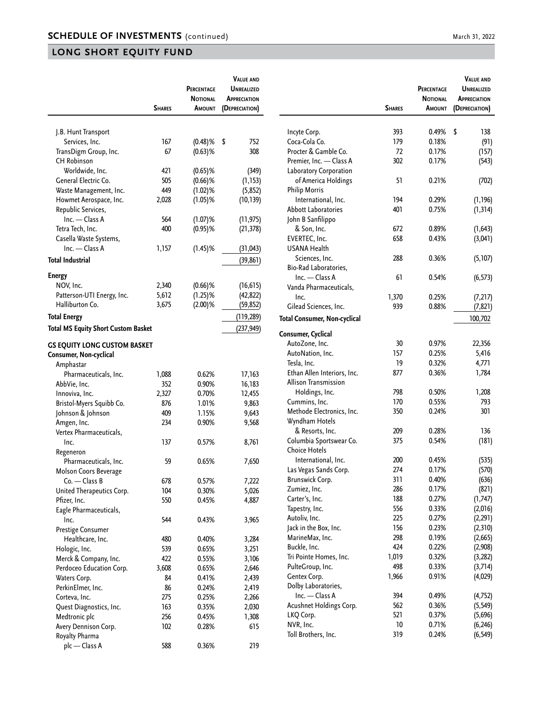|                                                                            | <b>SHARES</b> | PERCENTAGE<br><b>NOTIONAL</b><br>Amount | <b>VALUE AND</b><br><b>UNREALIZED</b><br><b>APPRECIATION</b><br>(DEPRECIATION) |
|----------------------------------------------------------------------------|---------------|-----------------------------------------|--------------------------------------------------------------------------------|
|                                                                            |               |                                         |                                                                                |
| J.B. Hunt Transport                                                        |               |                                         |                                                                                |
| Services, Inc.                                                             | 167           | $(0.48)$ %                              | \$<br>752                                                                      |
| TransDigm Group, Inc.                                                      | 67            | $(0.63)$ %                              | 308                                                                            |
| <b>CH Robinson</b>                                                         |               |                                         |                                                                                |
| Worldwide, Inc.                                                            | 421           | $(0.65)$ %                              | (349)                                                                          |
| General Electric Co.                                                       | 505<br>449    | $(0.66)$ %                              | (1, 153)                                                                       |
| Waste Management, Inc.<br>Howmet Aerospace, Inc.                           | 2,028         | $(1.02)$ %<br>$(1.05)$ %                | (5,852)                                                                        |
| Republic Services,                                                         |               |                                         | (10, 139)                                                                      |
| Inc. - Class A                                                             | 564           | $(1.07)$ %                              | (11, 975)                                                                      |
| Tetra Tech, Inc.                                                           | 400           | $(0.95)$ %                              | (21, 378)                                                                      |
| Casella Waste Systems,                                                     |               |                                         |                                                                                |
| Inc. - Class A                                                             | 1,157         | $(1.45)\%$                              | (31, 043)                                                                      |
| <b>Total Industrial</b>                                                    |               |                                         | (39, 861)                                                                      |
|                                                                            |               |                                         |                                                                                |
| <b>Energy</b>                                                              |               |                                         |                                                                                |
| NOV, Inc.                                                                  | 2,340         | $(0.66)$ %                              | (16, 615)                                                                      |
| Patterson-UTI Energy, Inc.                                                 | 5,612         | $(1.25)$ %                              | (42, 822)                                                                      |
| Halliburton Co.                                                            | 3,675         | $(2.00)$ %                              | (59, 852)                                                                      |
| <b>Total Energy</b>                                                        |               |                                         | (119, 289)                                                                     |
| <b>Total MS Equity Short Custom Basket</b>                                 |               |                                         | (237, 949)                                                                     |
| <b>GS EQUITY LONG CUSTOM BASKET</b><br>Consumer, Non-cyclical<br>Amphastar |               |                                         |                                                                                |
| Pharmaceuticals, Inc.                                                      | 1,088         | 0.62%                                   | 17,163                                                                         |
| AbbVie, Inc.                                                               | 352           | 0.90%                                   | 16,183                                                                         |
| Innoviva, Inc.                                                             | 2,327<br>876  | 0.70%                                   | 12,455                                                                         |
| Bristol-Myers Squibb Co.                                                   | 409           | 1.01%<br>1.15%                          | 9,863                                                                          |
| Johnson & Johnson<br>Amgen, Inc.                                           | 234           | 0.90%                                   | 9,643<br>9,568                                                                 |
| Vertex Pharmaceuticals,                                                    |               |                                         |                                                                                |
| Inc.                                                                       | 137           | 0.57%                                   | 8,761                                                                          |
| Regeneron                                                                  |               |                                         |                                                                                |
| Pharmaceuticals, Inc.                                                      | 59            | 0.65%                                   | 7,650                                                                          |
| Molson Coors Beverage                                                      |               |                                         |                                                                                |
| Co. - Class B                                                              | 678           | 0.57%                                   | 7,222                                                                          |
| United Therapeutics Corp.                                                  | 104           | 0.30%                                   | 5,026                                                                          |
| Pfizer, Inc.                                                               | 550           | 0.45%                                   | 4,887                                                                          |
| Eagle Pharmaceuticals,                                                     |               |                                         |                                                                                |
| Inc.                                                                       | 544           | 0.43%                                   | 3,965                                                                          |
| Prestige Consumer                                                          |               |                                         |                                                                                |
| Healthcare, Inc.                                                           | 480           | 0.40%                                   | 3,284                                                                          |
| Hologic, Inc.                                                              | 539           | 0.65%                                   | 3,251                                                                          |
| Merck & Company, Inc.                                                      | 422           | 0.55%                                   | 3,106                                                                          |
| Perdoceo Education Corp.                                                   | 3,608         | 0.65%                                   | 2,646                                                                          |
| Waters Corp.                                                               | 84            | 0.41%                                   | 2,439                                                                          |
| PerkinElmer, Inc.                                                          | 86            | 0.24%                                   | 2,419                                                                          |
| Corteva, Inc.                                                              | 275<br>163    | 0.25%                                   | 2,266                                                                          |
| Quest Diagnostics, Inc.<br>Medtronic plc                                   | 256           | 0.35%<br>0.45%                          | 2,030<br>1,308                                                                 |
| Avery Dennison Corp.                                                       | 102           | 0.28%                                   | 615                                                                            |
| Royalty Pharma                                                             |               |                                         |                                                                                |
| plc - Class A                                                              | 588           | 0.36%                                   | 219                                                                            |

|                                     | <b>SHARES</b> | <b>PERCENTAGE</b><br><b>NOTIONAL</b><br>Amount | <b>VALUE AND</b><br><b>UNREALIZED</b><br><b>APPRECIATION</b><br>(DEPRECIATION) |
|-------------------------------------|---------------|------------------------------------------------|--------------------------------------------------------------------------------|
|                                     |               |                                                |                                                                                |
| Incyte Corp.                        | 393           | 0.49%                                          | \$<br>138                                                                      |
| Coca-Cola Co.                       | 179           | 0.18%                                          | (91)                                                                           |
| Procter & Gamble Co.                | 72            | 0.17%                                          | (157)                                                                          |
| Premier, Inc. - Class A             | 302           | 0.17%                                          | (543)                                                                          |
| Laboratory Corporation              |               |                                                |                                                                                |
| of America Holdings                 | 51            | 0.21%                                          | (702)                                                                          |
| <b>Philip Morris</b>                |               |                                                |                                                                                |
| International, Inc.                 | 194           | 0.29%                                          | (1, 196)                                                                       |
| <b>Abbott Laboratories</b>          | 401           | 0.75%                                          | (1, 314)                                                                       |
| John B Sanfilippo                   |               |                                                |                                                                                |
| & Son, Inc.                         | 672           | 0.89%                                          | (1, 643)                                                                       |
| EVERTEC, Inc.                       | 658           | 0.43%                                          | (3,041)                                                                        |
| USANA Health                        |               |                                                |                                                                                |
| Sciences, Inc.                      | 288           | 0.36%                                          | (5,107)                                                                        |
| Bio-Rad Laboratories,               |               |                                                |                                                                                |
| Inc. — Class A                      | 61            | 0.54%                                          |                                                                                |
| Vanda Pharmaceuticals,              |               |                                                | (6, 573)                                                                       |
|                                     |               |                                                |                                                                                |
| Inc.                                | 1,370         | 0.25%                                          | (7, 217)                                                                       |
| Gilead Sciences, Inc.               | 939           | 0.88%                                          | (7, 821)                                                                       |
| <b>Total Consumer, Non-cyclical</b> |               |                                                | 100,702                                                                        |
| Consumer, Cyclical                  |               |                                                |                                                                                |
| AutoZone, Inc.                      | 30            | 0.97%                                          | 22,356                                                                         |
| AutoNation, Inc.                    | 157           | 0.25%                                          | 5,416                                                                          |
| Tesla, Inc.                         | 19            | 0.32%                                          | 4,771                                                                          |
| Ethan Allen Interiors, Inc.         | 877           | 0.36%                                          | 1,784                                                                          |
| <b>Allison Transmission</b>         |               |                                                |                                                                                |
| Holdings, Inc.                      | 798           | 0.50%                                          | 1,208                                                                          |
| Cummins, Inc.                       | 170           | 0.55%                                          | 793                                                                            |
| Methode Electronics, Inc.           | 350           | 0.24%                                          | 301                                                                            |
| Wyndham Hotels                      |               |                                                |                                                                                |
| & Resorts, Inc.                     | 209           | 0.28%                                          | 136                                                                            |
| Columbia Sportswear Co.             | 375           | 0.54%                                          | (181)                                                                          |
| <b>Choice Hotels</b>                |               |                                                |                                                                                |
| International, Inc.                 | 200           | 0.45%                                          | (535)                                                                          |
| Las Vegas Sands Corp.               | 274           | 0.17%                                          | (570)                                                                          |
| Brunswick Corp.                     | 311           | 0.40%                                          | (636)                                                                          |
| Zumiez, Inc.                        | 286           | 0.17%                                          | (821)                                                                          |
| Carter's, Inc.                      | 188           | 0.27%                                          | (1, 747)                                                                       |
| Tapestry, Inc.                      | 556           | 0.33%                                          | (2,016)                                                                        |
| Autoliv, Inc.                       | 225           | 0.27%                                          |                                                                                |
|                                     |               |                                                | (2, 291)                                                                       |
| Jack in the Box, Inc.               | 156           | 0.23%                                          | (2,310)                                                                        |
| MarineMax, Inc.                     | 298           | 0.19%                                          | (2,665)                                                                        |
| Buckle, Inc.                        | 424           | 0.22%                                          | (2,908)                                                                        |
| Tri Pointe Homes, Inc.              | 1,019         | 0.32%                                          | (3, 282)                                                                       |
| PulteGroup, Inc.                    | 498           | 0.33%                                          | (3,714)                                                                        |
| Gentex Corp.                        | 1,966         | 0.91%                                          | (4,029)                                                                        |
| Dolby Laboratories,                 |               |                                                |                                                                                |
| Inc. - Class A                      | 394           | 0.49%                                          | (4, 752)                                                                       |
| Acushnet Holdings Corp.             | 562           | 0.36%                                          | (5, 549)                                                                       |
| LKQ Corp.                           | 521           | 0.37%                                          | (5,696)                                                                        |
| NVR, Inc.                           | 10            | 0.71%                                          | (6, 246)                                                                       |
| Toll Brothers, Inc.                 | 319           | 0.24%                                          | (6, 549)                                                                       |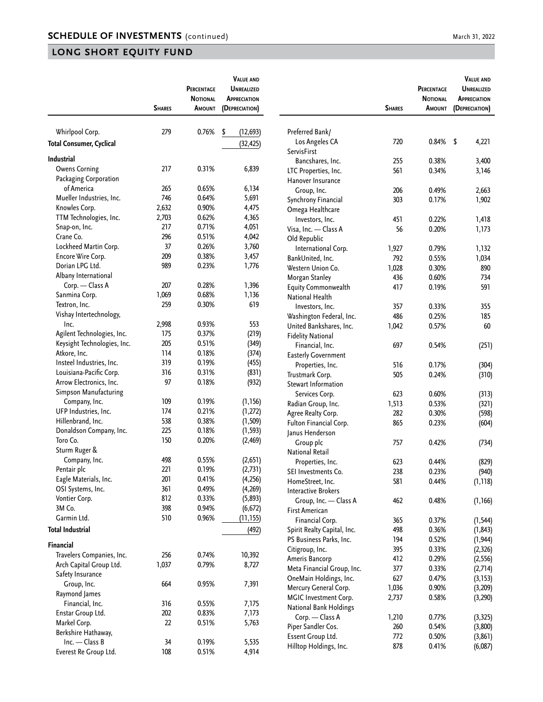| 279<br>Whirlpool Corp.<br>0.76%<br>\$<br>Preferred Bank/<br>(12, 693)<br>720<br>0.84%<br>\$<br>4,221<br>Los Angeles CA<br><b>Total Consumer, Cyclical</b><br>(32, 425)<br>ServisFirst<br><b>Industrial</b><br>Bancshares, Inc.<br>255<br>0.38%<br>3,400<br>217<br><b>Owens Corning</b><br>0.31%<br>6,839<br>LTC Properties, Inc.<br>561<br>0.34%<br>3,146<br>Packaging Corporation<br>Hanover Insurance<br>of America<br>265<br>0.65%<br>6,134<br>Group, Inc.<br>206<br>0.49%<br>2,663<br>746<br>Mueller Industries, Inc.<br>0.64%<br>5,691<br>Synchrony Financial<br>303<br>0.17%<br>1,902<br>Knowles Corp.<br>2,632<br>0.90%<br>4,475<br>Omega Healthcare<br>TTM Technologies, Inc.<br>2,703<br>0.62%<br>4,365<br>Investors, Inc.<br>0.22%<br>1,418<br>451<br>217<br>0.71%<br>4,051<br>Snap-on, Inc.<br>Visa, Inc. - Class A<br>56<br>0.20%<br>1,173<br>296<br>0.51%<br>4,042<br>Crane Co.<br>Old Republic<br>0.26%<br>3,760<br>Lockheed Martin Corp.<br>37<br>International Corp.<br>1,927<br>0.79%<br>1,132<br>209<br>0.38%<br>Encore Wire Corp.<br>3,457<br>792<br>0.55%<br>1,034<br>BankUnited, Inc.<br>Dorian LPG Ltd.<br>989<br>0.23%<br>1,776<br>1,028<br>0.30%<br>890<br>Western Union Co.<br>Albany International<br>0.60%<br>734<br>Morgan Stanley<br>436<br>207<br>0.28%<br>1,396<br>Corp. - Class A<br>591<br><b>Equity Commonwealth</b><br>417<br>0.19%<br>0.68%<br>Sanmina Corp.<br>1,069<br>1,136<br><b>National Health</b><br>259<br>619<br>Textron, Inc.<br>0.30%<br>355<br>Investors, Inc.<br>357<br>0.33%<br>Vishay Intertechnology,<br>486<br>0.25%<br>185<br>Washington Federal, Inc.<br>2,998<br>0.93%<br>553<br>Inc.<br>United Bankshares, Inc.<br>0.57%<br>60<br>1,042<br>175<br>0.37%<br>Agilent Technologies, Inc.<br>(219)<br><b>Fidelity National</b><br>205<br>0.51%<br>Keysight Technologies, Inc.<br>(349)<br>Financial, Inc.<br>697<br>0.54%<br>(251)<br>0.18%<br>Atkore, Inc.<br>114<br>(374)<br><b>Easterly Government</b><br>319<br>Insteel Industries, Inc.<br>0.19%<br>(455)<br>Properties, Inc.<br>516<br>0.17%<br>(304)<br>Louisiana-Pacific Corp.<br>316<br>0.31%<br>(831)<br>0.24%<br>Trustmark Corp.<br>505<br>(310)<br>Arrow Electronics, Inc.<br>97<br>0.18%<br>(932)<br>Stewart Information<br>Simpson Manufacturing<br>0.60%<br>623<br>(313)<br>Services Corp.<br>109<br>0.19%<br>(1, 156)<br>Company, Inc.<br>0.53%<br>Radian Group, Inc.<br>1,513<br>(321)<br>UFP Industries, Inc.<br>0.21%<br>174<br>(1, 272)<br>0.30%<br>Agree Realty Corp.<br>282<br>(598)<br>538<br>0.38%<br>Hillenbrand, Inc.<br>(1, 509)<br>Fulton Financial Corp.<br>865<br>0.23%<br>(604)<br>225<br>0.18%<br>Donaldson Company, Inc.<br>(1, 593)<br>Janus Henderson<br>Toro Co.<br>150<br>0.20%<br>(2,469)<br>Group plc<br>757<br>0.42%<br>(734)<br>Sturm Ruger &<br><b>National Retail</b><br>498<br>0.55%<br>(2,651)<br>Company, Inc.<br>623<br>0.44%<br>(829)<br>Properties, Inc.<br>221<br>0.19%<br>(2,731)<br>Pentair plc<br>238<br>0.23%<br>SEI Investments Co.<br>(940)<br>201<br>0.41%<br>(4, 256)<br>Eagle Materials, Inc.<br>581<br>HomeStreet, Inc.<br>0.44%<br>(1, 118)<br>361<br>OSI Systems, Inc.<br>0.49%<br>(4, 269)<br><b>Interactive Brokers</b><br>812<br>0.33%<br>Vontier Corp.<br>(5,893)<br>Group, Inc. - Class A<br>462<br>0.48%<br>(1, 166)<br>3M Co.<br>398<br>0.94%<br>(6, 672)<br><b>First American</b><br>Garmin Ltd.<br>510<br>0.96%<br>(11, 155)<br>Financial Corp.<br>0.37%<br>365<br>(1, 544)<br><b>Total Industrial</b><br>(492)<br>Spirit Realty Capital, Inc.<br>498<br>0.36%<br>(1, 843)<br>0.52%<br>PS Business Parks, Inc.<br>194<br>(1, 944)<br>Financial<br>Citigroup, Inc.<br>0.33%<br>395<br>(2, 326)<br>Travelers Companies, Inc.<br>256<br>0.74%<br>10,392<br>Ameris Bancorp<br>412<br>0.29%<br>(2, 556)<br>1,037<br>8,727<br>Arch Capital Group Ltd.<br>0.79%<br>0.33%<br>Meta Financial Group, Inc.<br>377<br>(2,714)<br>Safety Insurance<br>OneMain Holdings, Inc.<br>627<br>0.47%<br>(3, 153)<br>664<br>0.95%<br>7,391<br>Group, Inc.<br>Mercury General Corp.<br>1,036<br>0.90%<br>(3,209)<br>Raymond James<br>MGIC Investment Corp.<br>0.58%<br>2,737<br>(3, 290)<br>Financial, Inc.<br>316<br>0.55%<br>7,175<br><b>National Bank Holdings</b><br>202<br>7,173<br>Enstar Group Ltd.<br>0.83%<br>Corp. - Class A<br>1,210<br>0.77%<br>(3, 325)<br>Markel Corp.<br>22<br>0.51%<br>5,763<br>Piper Sandler Cos.<br>0.54%<br>(3,800)<br>260<br>Berkshire Hathaway,<br>Essent Group Ltd.<br>0.50%<br>772<br>(3, 861)<br>Inc. - Class B<br>34<br>0.19%<br>5,535<br>Hilltop Holdings, Inc.<br>878<br>0.41%<br>(6,087) |                       | <b>SHARES</b> | PERCENTAGE<br><b>NOTIONAL</b><br>AMOUNT | <b>VALUE AND</b><br><b>UNREALIZED</b><br><b>APPRECIATION</b><br>(DEPRECIATION) | <b>SHARES</b> | PERCENTAGE<br><b>NOTIONAL</b><br>AMOUNT | <b>VALUE AND</b><br><b>UNREALIZED</b><br><b>APPRECIATION</b><br>(DEPRECIATION) |
|-------------------------------------------------------------------------------------------------------------------------------------------------------------------------------------------------------------------------------------------------------------------------------------------------------------------------------------------------------------------------------------------------------------------------------------------------------------------------------------------------------------------------------------------------------------------------------------------------------------------------------------------------------------------------------------------------------------------------------------------------------------------------------------------------------------------------------------------------------------------------------------------------------------------------------------------------------------------------------------------------------------------------------------------------------------------------------------------------------------------------------------------------------------------------------------------------------------------------------------------------------------------------------------------------------------------------------------------------------------------------------------------------------------------------------------------------------------------------------------------------------------------------------------------------------------------------------------------------------------------------------------------------------------------------------------------------------------------------------------------------------------------------------------------------------------------------------------------------------------------------------------------------------------------------------------------------------------------------------------------------------------------------------------------------------------------------------------------------------------------------------------------------------------------------------------------------------------------------------------------------------------------------------------------------------------------------------------------------------------------------------------------------------------------------------------------------------------------------------------------------------------------------------------------------------------------------------------------------------------------------------------------------------------------------------------------------------------------------------------------------------------------------------------------------------------------------------------------------------------------------------------------------------------------------------------------------------------------------------------------------------------------------------------------------------------------------------------------------------------------------------------------------------------------------------------------------------------------------------------------------------------------------------------------------------------------------------------------------------------------------------------------------------------------------------------------------------------------------------------------------------------------------------------------------------------------------------------------------------------------------------------------------------------------------------------------------------------------------------------------------------------------------------------------------------------------------------------------------------------------------------------------------------------------------------------------------------------------------------------------------------------------------------------------------------------------------------------------------------------------------------------------------------------------------------------------------------------------------------------------------------------------------------------------------------------------------------------------------------------------------------------------------------------------------------------------------------------------------------------------------------------------------------------------------------------------------------------------|-----------------------|---------------|-----------------------------------------|--------------------------------------------------------------------------------|---------------|-----------------------------------------|--------------------------------------------------------------------------------|
|                                                                                                                                                                                                                                                                                                                                                                                                                                                                                                                                                                                                                                                                                                                                                                                                                                                                                                                                                                                                                                                                                                                                                                                                                                                                                                                                                                                                                                                                                                                                                                                                                                                                                                                                                                                                                                                                                                                                                                                                                                                                                                                                                                                                                                                                                                                                                                                                                                                                                                                                                                                                                                                                                                                                                                                                                                                                                                                                                                                                                                                                                                                                                                                                                                                                                                                                                                                                                                                                                                                                                                                                                                                                                                                                                                                                                                                                                                                                                                                                                                                                                                                                                                                                                                                                                                                                                                                                                                                                                                                                                                                           |                       |               |                                         |                                                                                |               |                                         |                                                                                |
|                                                                                                                                                                                                                                                                                                                                                                                                                                                                                                                                                                                                                                                                                                                                                                                                                                                                                                                                                                                                                                                                                                                                                                                                                                                                                                                                                                                                                                                                                                                                                                                                                                                                                                                                                                                                                                                                                                                                                                                                                                                                                                                                                                                                                                                                                                                                                                                                                                                                                                                                                                                                                                                                                                                                                                                                                                                                                                                                                                                                                                                                                                                                                                                                                                                                                                                                                                                                                                                                                                                                                                                                                                                                                                                                                                                                                                                                                                                                                                                                                                                                                                                                                                                                                                                                                                                                                                                                                                                                                                                                                                                           |                       |               |                                         |                                                                                |               |                                         |                                                                                |
|                                                                                                                                                                                                                                                                                                                                                                                                                                                                                                                                                                                                                                                                                                                                                                                                                                                                                                                                                                                                                                                                                                                                                                                                                                                                                                                                                                                                                                                                                                                                                                                                                                                                                                                                                                                                                                                                                                                                                                                                                                                                                                                                                                                                                                                                                                                                                                                                                                                                                                                                                                                                                                                                                                                                                                                                                                                                                                                                                                                                                                                                                                                                                                                                                                                                                                                                                                                                                                                                                                                                                                                                                                                                                                                                                                                                                                                                                                                                                                                                                                                                                                                                                                                                                                                                                                                                                                                                                                                                                                                                                                                           |                       |               |                                         |                                                                                |               |                                         |                                                                                |
|                                                                                                                                                                                                                                                                                                                                                                                                                                                                                                                                                                                                                                                                                                                                                                                                                                                                                                                                                                                                                                                                                                                                                                                                                                                                                                                                                                                                                                                                                                                                                                                                                                                                                                                                                                                                                                                                                                                                                                                                                                                                                                                                                                                                                                                                                                                                                                                                                                                                                                                                                                                                                                                                                                                                                                                                                                                                                                                                                                                                                                                                                                                                                                                                                                                                                                                                                                                                                                                                                                                                                                                                                                                                                                                                                                                                                                                                                                                                                                                                                                                                                                                                                                                                                                                                                                                                                                                                                                                                                                                                                                                           |                       |               |                                         |                                                                                |               |                                         |                                                                                |
|                                                                                                                                                                                                                                                                                                                                                                                                                                                                                                                                                                                                                                                                                                                                                                                                                                                                                                                                                                                                                                                                                                                                                                                                                                                                                                                                                                                                                                                                                                                                                                                                                                                                                                                                                                                                                                                                                                                                                                                                                                                                                                                                                                                                                                                                                                                                                                                                                                                                                                                                                                                                                                                                                                                                                                                                                                                                                                                                                                                                                                                                                                                                                                                                                                                                                                                                                                                                                                                                                                                                                                                                                                                                                                                                                                                                                                                                                                                                                                                                                                                                                                                                                                                                                                                                                                                                                                                                                                                                                                                                                                                           |                       |               |                                         |                                                                                |               |                                         |                                                                                |
|                                                                                                                                                                                                                                                                                                                                                                                                                                                                                                                                                                                                                                                                                                                                                                                                                                                                                                                                                                                                                                                                                                                                                                                                                                                                                                                                                                                                                                                                                                                                                                                                                                                                                                                                                                                                                                                                                                                                                                                                                                                                                                                                                                                                                                                                                                                                                                                                                                                                                                                                                                                                                                                                                                                                                                                                                                                                                                                                                                                                                                                                                                                                                                                                                                                                                                                                                                                                                                                                                                                                                                                                                                                                                                                                                                                                                                                                                                                                                                                                                                                                                                                                                                                                                                                                                                                                                                                                                                                                                                                                                                                           |                       |               |                                         |                                                                                |               |                                         |                                                                                |
|                                                                                                                                                                                                                                                                                                                                                                                                                                                                                                                                                                                                                                                                                                                                                                                                                                                                                                                                                                                                                                                                                                                                                                                                                                                                                                                                                                                                                                                                                                                                                                                                                                                                                                                                                                                                                                                                                                                                                                                                                                                                                                                                                                                                                                                                                                                                                                                                                                                                                                                                                                                                                                                                                                                                                                                                                                                                                                                                                                                                                                                                                                                                                                                                                                                                                                                                                                                                                                                                                                                                                                                                                                                                                                                                                                                                                                                                                                                                                                                                                                                                                                                                                                                                                                                                                                                                                                                                                                                                                                                                                                                           |                       |               |                                         |                                                                                |               |                                         |                                                                                |
|                                                                                                                                                                                                                                                                                                                                                                                                                                                                                                                                                                                                                                                                                                                                                                                                                                                                                                                                                                                                                                                                                                                                                                                                                                                                                                                                                                                                                                                                                                                                                                                                                                                                                                                                                                                                                                                                                                                                                                                                                                                                                                                                                                                                                                                                                                                                                                                                                                                                                                                                                                                                                                                                                                                                                                                                                                                                                                                                                                                                                                                                                                                                                                                                                                                                                                                                                                                                                                                                                                                                                                                                                                                                                                                                                                                                                                                                                                                                                                                                                                                                                                                                                                                                                                                                                                                                                                                                                                                                                                                                                                                           |                       |               |                                         |                                                                                |               |                                         |                                                                                |
|                                                                                                                                                                                                                                                                                                                                                                                                                                                                                                                                                                                                                                                                                                                                                                                                                                                                                                                                                                                                                                                                                                                                                                                                                                                                                                                                                                                                                                                                                                                                                                                                                                                                                                                                                                                                                                                                                                                                                                                                                                                                                                                                                                                                                                                                                                                                                                                                                                                                                                                                                                                                                                                                                                                                                                                                                                                                                                                                                                                                                                                                                                                                                                                                                                                                                                                                                                                                                                                                                                                                                                                                                                                                                                                                                                                                                                                                                                                                                                                                                                                                                                                                                                                                                                                                                                                                                                                                                                                                                                                                                                                           |                       |               |                                         |                                                                                |               |                                         |                                                                                |
|                                                                                                                                                                                                                                                                                                                                                                                                                                                                                                                                                                                                                                                                                                                                                                                                                                                                                                                                                                                                                                                                                                                                                                                                                                                                                                                                                                                                                                                                                                                                                                                                                                                                                                                                                                                                                                                                                                                                                                                                                                                                                                                                                                                                                                                                                                                                                                                                                                                                                                                                                                                                                                                                                                                                                                                                                                                                                                                                                                                                                                                                                                                                                                                                                                                                                                                                                                                                                                                                                                                                                                                                                                                                                                                                                                                                                                                                                                                                                                                                                                                                                                                                                                                                                                                                                                                                                                                                                                                                                                                                                                                           |                       |               |                                         |                                                                                |               |                                         |                                                                                |
|                                                                                                                                                                                                                                                                                                                                                                                                                                                                                                                                                                                                                                                                                                                                                                                                                                                                                                                                                                                                                                                                                                                                                                                                                                                                                                                                                                                                                                                                                                                                                                                                                                                                                                                                                                                                                                                                                                                                                                                                                                                                                                                                                                                                                                                                                                                                                                                                                                                                                                                                                                                                                                                                                                                                                                                                                                                                                                                                                                                                                                                                                                                                                                                                                                                                                                                                                                                                                                                                                                                                                                                                                                                                                                                                                                                                                                                                                                                                                                                                                                                                                                                                                                                                                                                                                                                                                                                                                                                                                                                                                                                           |                       |               |                                         |                                                                                |               |                                         |                                                                                |
|                                                                                                                                                                                                                                                                                                                                                                                                                                                                                                                                                                                                                                                                                                                                                                                                                                                                                                                                                                                                                                                                                                                                                                                                                                                                                                                                                                                                                                                                                                                                                                                                                                                                                                                                                                                                                                                                                                                                                                                                                                                                                                                                                                                                                                                                                                                                                                                                                                                                                                                                                                                                                                                                                                                                                                                                                                                                                                                                                                                                                                                                                                                                                                                                                                                                                                                                                                                                                                                                                                                                                                                                                                                                                                                                                                                                                                                                                                                                                                                                                                                                                                                                                                                                                                                                                                                                                                                                                                                                                                                                                                                           |                       |               |                                         |                                                                                |               |                                         |                                                                                |
|                                                                                                                                                                                                                                                                                                                                                                                                                                                                                                                                                                                                                                                                                                                                                                                                                                                                                                                                                                                                                                                                                                                                                                                                                                                                                                                                                                                                                                                                                                                                                                                                                                                                                                                                                                                                                                                                                                                                                                                                                                                                                                                                                                                                                                                                                                                                                                                                                                                                                                                                                                                                                                                                                                                                                                                                                                                                                                                                                                                                                                                                                                                                                                                                                                                                                                                                                                                                                                                                                                                                                                                                                                                                                                                                                                                                                                                                                                                                                                                                                                                                                                                                                                                                                                                                                                                                                                                                                                                                                                                                                                                           |                       |               |                                         |                                                                                |               |                                         |                                                                                |
|                                                                                                                                                                                                                                                                                                                                                                                                                                                                                                                                                                                                                                                                                                                                                                                                                                                                                                                                                                                                                                                                                                                                                                                                                                                                                                                                                                                                                                                                                                                                                                                                                                                                                                                                                                                                                                                                                                                                                                                                                                                                                                                                                                                                                                                                                                                                                                                                                                                                                                                                                                                                                                                                                                                                                                                                                                                                                                                                                                                                                                                                                                                                                                                                                                                                                                                                                                                                                                                                                                                                                                                                                                                                                                                                                                                                                                                                                                                                                                                                                                                                                                                                                                                                                                                                                                                                                                                                                                                                                                                                                                                           |                       |               |                                         |                                                                                |               |                                         |                                                                                |
|                                                                                                                                                                                                                                                                                                                                                                                                                                                                                                                                                                                                                                                                                                                                                                                                                                                                                                                                                                                                                                                                                                                                                                                                                                                                                                                                                                                                                                                                                                                                                                                                                                                                                                                                                                                                                                                                                                                                                                                                                                                                                                                                                                                                                                                                                                                                                                                                                                                                                                                                                                                                                                                                                                                                                                                                                                                                                                                                                                                                                                                                                                                                                                                                                                                                                                                                                                                                                                                                                                                                                                                                                                                                                                                                                                                                                                                                                                                                                                                                                                                                                                                                                                                                                                                                                                                                                                                                                                                                                                                                                                                           |                       |               |                                         |                                                                                |               |                                         |                                                                                |
|                                                                                                                                                                                                                                                                                                                                                                                                                                                                                                                                                                                                                                                                                                                                                                                                                                                                                                                                                                                                                                                                                                                                                                                                                                                                                                                                                                                                                                                                                                                                                                                                                                                                                                                                                                                                                                                                                                                                                                                                                                                                                                                                                                                                                                                                                                                                                                                                                                                                                                                                                                                                                                                                                                                                                                                                                                                                                                                                                                                                                                                                                                                                                                                                                                                                                                                                                                                                                                                                                                                                                                                                                                                                                                                                                                                                                                                                                                                                                                                                                                                                                                                                                                                                                                                                                                                                                                                                                                                                                                                                                                                           |                       |               |                                         |                                                                                |               |                                         |                                                                                |
|                                                                                                                                                                                                                                                                                                                                                                                                                                                                                                                                                                                                                                                                                                                                                                                                                                                                                                                                                                                                                                                                                                                                                                                                                                                                                                                                                                                                                                                                                                                                                                                                                                                                                                                                                                                                                                                                                                                                                                                                                                                                                                                                                                                                                                                                                                                                                                                                                                                                                                                                                                                                                                                                                                                                                                                                                                                                                                                                                                                                                                                                                                                                                                                                                                                                                                                                                                                                                                                                                                                                                                                                                                                                                                                                                                                                                                                                                                                                                                                                                                                                                                                                                                                                                                                                                                                                                                                                                                                                                                                                                                                           |                       |               |                                         |                                                                                |               |                                         |                                                                                |
|                                                                                                                                                                                                                                                                                                                                                                                                                                                                                                                                                                                                                                                                                                                                                                                                                                                                                                                                                                                                                                                                                                                                                                                                                                                                                                                                                                                                                                                                                                                                                                                                                                                                                                                                                                                                                                                                                                                                                                                                                                                                                                                                                                                                                                                                                                                                                                                                                                                                                                                                                                                                                                                                                                                                                                                                                                                                                                                                                                                                                                                                                                                                                                                                                                                                                                                                                                                                                                                                                                                                                                                                                                                                                                                                                                                                                                                                                                                                                                                                                                                                                                                                                                                                                                                                                                                                                                                                                                                                                                                                                                                           |                       |               |                                         |                                                                                |               |                                         |                                                                                |
|                                                                                                                                                                                                                                                                                                                                                                                                                                                                                                                                                                                                                                                                                                                                                                                                                                                                                                                                                                                                                                                                                                                                                                                                                                                                                                                                                                                                                                                                                                                                                                                                                                                                                                                                                                                                                                                                                                                                                                                                                                                                                                                                                                                                                                                                                                                                                                                                                                                                                                                                                                                                                                                                                                                                                                                                                                                                                                                                                                                                                                                                                                                                                                                                                                                                                                                                                                                                                                                                                                                                                                                                                                                                                                                                                                                                                                                                                                                                                                                                                                                                                                                                                                                                                                                                                                                                                                                                                                                                                                                                                                                           |                       |               |                                         |                                                                                |               |                                         |                                                                                |
|                                                                                                                                                                                                                                                                                                                                                                                                                                                                                                                                                                                                                                                                                                                                                                                                                                                                                                                                                                                                                                                                                                                                                                                                                                                                                                                                                                                                                                                                                                                                                                                                                                                                                                                                                                                                                                                                                                                                                                                                                                                                                                                                                                                                                                                                                                                                                                                                                                                                                                                                                                                                                                                                                                                                                                                                                                                                                                                                                                                                                                                                                                                                                                                                                                                                                                                                                                                                                                                                                                                                                                                                                                                                                                                                                                                                                                                                                                                                                                                                                                                                                                                                                                                                                                                                                                                                                                                                                                                                                                                                                                                           |                       |               |                                         |                                                                                |               |                                         |                                                                                |
|                                                                                                                                                                                                                                                                                                                                                                                                                                                                                                                                                                                                                                                                                                                                                                                                                                                                                                                                                                                                                                                                                                                                                                                                                                                                                                                                                                                                                                                                                                                                                                                                                                                                                                                                                                                                                                                                                                                                                                                                                                                                                                                                                                                                                                                                                                                                                                                                                                                                                                                                                                                                                                                                                                                                                                                                                                                                                                                                                                                                                                                                                                                                                                                                                                                                                                                                                                                                                                                                                                                                                                                                                                                                                                                                                                                                                                                                                                                                                                                                                                                                                                                                                                                                                                                                                                                                                                                                                                                                                                                                                                                           |                       |               |                                         |                                                                                |               |                                         |                                                                                |
|                                                                                                                                                                                                                                                                                                                                                                                                                                                                                                                                                                                                                                                                                                                                                                                                                                                                                                                                                                                                                                                                                                                                                                                                                                                                                                                                                                                                                                                                                                                                                                                                                                                                                                                                                                                                                                                                                                                                                                                                                                                                                                                                                                                                                                                                                                                                                                                                                                                                                                                                                                                                                                                                                                                                                                                                                                                                                                                                                                                                                                                                                                                                                                                                                                                                                                                                                                                                                                                                                                                                                                                                                                                                                                                                                                                                                                                                                                                                                                                                                                                                                                                                                                                                                                                                                                                                                                                                                                                                                                                                                                                           |                       |               |                                         |                                                                                |               |                                         |                                                                                |
|                                                                                                                                                                                                                                                                                                                                                                                                                                                                                                                                                                                                                                                                                                                                                                                                                                                                                                                                                                                                                                                                                                                                                                                                                                                                                                                                                                                                                                                                                                                                                                                                                                                                                                                                                                                                                                                                                                                                                                                                                                                                                                                                                                                                                                                                                                                                                                                                                                                                                                                                                                                                                                                                                                                                                                                                                                                                                                                                                                                                                                                                                                                                                                                                                                                                                                                                                                                                                                                                                                                                                                                                                                                                                                                                                                                                                                                                                                                                                                                                                                                                                                                                                                                                                                                                                                                                                                                                                                                                                                                                                                                           |                       |               |                                         |                                                                                |               |                                         |                                                                                |
|                                                                                                                                                                                                                                                                                                                                                                                                                                                                                                                                                                                                                                                                                                                                                                                                                                                                                                                                                                                                                                                                                                                                                                                                                                                                                                                                                                                                                                                                                                                                                                                                                                                                                                                                                                                                                                                                                                                                                                                                                                                                                                                                                                                                                                                                                                                                                                                                                                                                                                                                                                                                                                                                                                                                                                                                                                                                                                                                                                                                                                                                                                                                                                                                                                                                                                                                                                                                                                                                                                                                                                                                                                                                                                                                                                                                                                                                                                                                                                                                                                                                                                                                                                                                                                                                                                                                                                                                                                                                                                                                                                                           |                       |               |                                         |                                                                                |               |                                         |                                                                                |
|                                                                                                                                                                                                                                                                                                                                                                                                                                                                                                                                                                                                                                                                                                                                                                                                                                                                                                                                                                                                                                                                                                                                                                                                                                                                                                                                                                                                                                                                                                                                                                                                                                                                                                                                                                                                                                                                                                                                                                                                                                                                                                                                                                                                                                                                                                                                                                                                                                                                                                                                                                                                                                                                                                                                                                                                                                                                                                                                                                                                                                                                                                                                                                                                                                                                                                                                                                                                                                                                                                                                                                                                                                                                                                                                                                                                                                                                                                                                                                                                                                                                                                                                                                                                                                                                                                                                                                                                                                                                                                                                                                                           |                       |               |                                         |                                                                                |               |                                         |                                                                                |
|                                                                                                                                                                                                                                                                                                                                                                                                                                                                                                                                                                                                                                                                                                                                                                                                                                                                                                                                                                                                                                                                                                                                                                                                                                                                                                                                                                                                                                                                                                                                                                                                                                                                                                                                                                                                                                                                                                                                                                                                                                                                                                                                                                                                                                                                                                                                                                                                                                                                                                                                                                                                                                                                                                                                                                                                                                                                                                                                                                                                                                                                                                                                                                                                                                                                                                                                                                                                                                                                                                                                                                                                                                                                                                                                                                                                                                                                                                                                                                                                                                                                                                                                                                                                                                                                                                                                                                                                                                                                                                                                                                                           |                       |               |                                         |                                                                                |               |                                         |                                                                                |
|                                                                                                                                                                                                                                                                                                                                                                                                                                                                                                                                                                                                                                                                                                                                                                                                                                                                                                                                                                                                                                                                                                                                                                                                                                                                                                                                                                                                                                                                                                                                                                                                                                                                                                                                                                                                                                                                                                                                                                                                                                                                                                                                                                                                                                                                                                                                                                                                                                                                                                                                                                                                                                                                                                                                                                                                                                                                                                                                                                                                                                                                                                                                                                                                                                                                                                                                                                                                                                                                                                                                                                                                                                                                                                                                                                                                                                                                                                                                                                                                                                                                                                                                                                                                                                                                                                                                                                                                                                                                                                                                                                                           |                       |               |                                         |                                                                                |               |                                         |                                                                                |
|                                                                                                                                                                                                                                                                                                                                                                                                                                                                                                                                                                                                                                                                                                                                                                                                                                                                                                                                                                                                                                                                                                                                                                                                                                                                                                                                                                                                                                                                                                                                                                                                                                                                                                                                                                                                                                                                                                                                                                                                                                                                                                                                                                                                                                                                                                                                                                                                                                                                                                                                                                                                                                                                                                                                                                                                                                                                                                                                                                                                                                                                                                                                                                                                                                                                                                                                                                                                                                                                                                                                                                                                                                                                                                                                                                                                                                                                                                                                                                                                                                                                                                                                                                                                                                                                                                                                                                                                                                                                                                                                                                                           |                       |               |                                         |                                                                                |               |                                         |                                                                                |
|                                                                                                                                                                                                                                                                                                                                                                                                                                                                                                                                                                                                                                                                                                                                                                                                                                                                                                                                                                                                                                                                                                                                                                                                                                                                                                                                                                                                                                                                                                                                                                                                                                                                                                                                                                                                                                                                                                                                                                                                                                                                                                                                                                                                                                                                                                                                                                                                                                                                                                                                                                                                                                                                                                                                                                                                                                                                                                                                                                                                                                                                                                                                                                                                                                                                                                                                                                                                                                                                                                                                                                                                                                                                                                                                                                                                                                                                                                                                                                                                                                                                                                                                                                                                                                                                                                                                                                                                                                                                                                                                                                                           |                       |               |                                         |                                                                                |               |                                         |                                                                                |
|                                                                                                                                                                                                                                                                                                                                                                                                                                                                                                                                                                                                                                                                                                                                                                                                                                                                                                                                                                                                                                                                                                                                                                                                                                                                                                                                                                                                                                                                                                                                                                                                                                                                                                                                                                                                                                                                                                                                                                                                                                                                                                                                                                                                                                                                                                                                                                                                                                                                                                                                                                                                                                                                                                                                                                                                                                                                                                                                                                                                                                                                                                                                                                                                                                                                                                                                                                                                                                                                                                                                                                                                                                                                                                                                                                                                                                                                                                                                                                                                                                                                                                                                                                                                                                                                                                                                                                                                                                                                                                                                                                                           |                       |               |                                         |                                                                                |               |                                         |                                                                                |
|                                                                                                                                                                                                                                                                                                                                                                                                                                                                                                                                                                                                                                                                                                                                                                                                                                                                                                                                                                                                                                                                                                                                                                                                                                                                                                                                                                                                                                                                                                                                                                                                                                                                                                                                                                                                                                                                                                                                                                                                                                                                                                                                                                                                                                                                                                                                                                                                                                                                                                                                                                                                                                                                                                                                                                                                                                                                                                                                                                                                                                                                                                                                                                                                                                                                                                                                                                                                                                                                                                                                                                                                                                                                                                                                                                                                                                                                                                                                                                                                                                                                                                                                                                                                                                                                                                                                                                                                                                                                                                                                                                                           |                       |               |                                         |                                                                                |               |                                         |                                                                                |
|                                                                                                                                                                                                                                                                                                                                                                                                                                                                                                                                                                                                                                                                                                                                                                                                                                                                                                                                                                                                                                                                                                                                                                                                                                                                                                                                                                                                                                                                                                                                                                                                                                                                                                                                                                                                                                                                                                                                                                                                                                                                                                                                                                                                                                                                                                                                                                                                                                                                                                                                                                                                                                                                                                                                                                                                                                                                                                                                                                                                                                                                                                                                                                                                                                                                                                                                                                                                                                                                                                                                                                                                                                                                                                                                                                                                                                                                                                                                                                                                                                                                                                                                                                                                                                                                                                                                                                                                                                                                                                                                                                                           |                       |               |                                         |                                                                                |               |                                         |                                                                                |
|                                                                                                                                                                                                                                                                                                                                                                                                                                                                                                                                                                                                                                                                                                                                                                                                                                                                                                                                                                                                                                                                                                                                                                                                                                                                                                                                                                                                                                                                                                                                                                                                                                                                                                                                                                                                                                                                                                                                                                                                                                                                                                                                                                                                                                                                                                                                                                                                                                                                                                                                                                                                                                                                                                                                                                                                                                                                                                                                                                                                                                                                                                                                                                                                                                                                                                                                                                                                                                                                                                                                                                                                                                                                                                                                                                                                                                                                                                                                                                                                                                                                                                                                                                                                                                                                                                                                                                                                                                                                                                                                                                                           |                       |               |                                         |                                                                                |               |                                         |                                                                                |
|                                                                                                                                                                                                                                                                                                                                                                                                                                                                                                                                                                                                                                                                                                                                                                                                                                                                                                                                                                                                                                                                                                                                                                                                                                                                                                                                                                                                                                                                                                                                                                                                                                                                                                                                                                                                                                                                                                                                                                                                                                                                                                                                                                                                                                                                                                                                                                                                                                                                                                                                                                                                                                                                                                                                                                                                                                                                                                                                                                                                                                                                                                                                                                                                                                                                                                                                                                                                                                                                                                                                                                                                                                                                                                                                                                                                                                                                                                                                                                                                                                                                                                                                                                                                                                                                                                                                                                                                                                                                                                                                                                                           |                       |               |                                         |                                                                                |               |                                         |                                                                                |
|                                                                                                                                                                                                                                                                                                                                                                                                                                                                                                                                                                                                                                                                                                                                                                                                                                                                                                                                                                                                                                                                                                                                                                                                                                                                                                                                                                                                                                                                                                                                                                                                                                                                                                                                                                                                                                                                                                                                                                                                                                                                                                                                                                                                                                                                                                                                                                                                                                                                                                                                                                                                                                                                                                                                                                                                                                                                                                                                                                                                                                                                                                                                                                                                                                                                                                                                                                                                                                                                                                                                                                                                                                                                                                                                                                                                                                                                                                                                                                                                                                                                                                                                                                                                                                                                                                                                                                                                                                                                                                                                                                                           |                       |               |                                         |                                                                                |               |                                         |                                                                                |
|                                                                                                                                                                                                                                                                                                                                                                                                                                                                                                                                                                                                                                                                                                                                                                                                                                                                                                                                                                                                                                                                                                                                                                                                                                                                                                                                                                                                                                                                                                                                                                                                                                                                                                                                                                                                                                                                                                                                                                                                                                                                                                                                                                                                                                                                                                                                                                                                                                                                                                                                                                                                                                                                                                                                                                                                                                                                                                                                                                                                                                                                                                                                                                                                                                                                                                                                                                                                                                                                                                                                                                                                                                                                                                                                                                                                                                                                                                                                                                                                                                                                                                                                                                                                                                                                                                                                                                                                                                                                                                                                                                                           |                       |               |                                         |                                                                                |               |                                         |                                                                                |
|                                                                                                                                                                                                                                                                                                                                                                                                                                                                                                                                                                                                                                                                                                                                                                                                                                                                                                                                                                                                                                                                                                                                                                                                                                                                                                                                                                                                                                                                                                                                                                                                                                                                                                                                                                                                                                                                                                                                                                                                                                                                                                                                                                                                                                                                                                                                                                                                                                                                                                                                                                                                                                                                                                                                                                                                                                                                                                                                                                                                                                                                                                                                                                                                                                                                                                                                                                                                                                                                                                                                                                                                                                                                                                                                                                                                                                                                                                                                                                                                                                                                                                                                                                                                                                                                                                                                                                                                                                                                                                                                                                                           |                       |               |                                         |                                                                                |               |                                         |                                                                                |
|                                                                                                                                                                                                                                                                                                                                                                                                                                                                                                                                                                                                                                                                                                                                                                                                                                                                                                                                                                                                                                                                                                                                                                                                                                                                                                                                                                                                                                                                                                                                                                                                                                                                                                                                                                                                                                                                                                                                                                                                                                                                                                                                                                                                                                                                                                                                                                                                                                                                                                                                                                                                                                                                                                                                                                                                                                                                                                                                                                                                                                                                                                                                                                                                                                                                                                                                                                                                                                                                                                                                                                                                                                                                                                                                                                                                                                                                                                                                                                                                                                                                                                                                                                                                                                                                                                                                                                                                                                                                                                                                                                                           |                       |               |                                         |                                                                                |               |                                         |                                                                                |
|                                                                                                                                                                                                                                                                                                                                                                                                                                                                                                                                                                                                                                                                                                                                                                                                                                                                                                                                                                                                                                                                                                                                                                                                                                                                                                                                                                                                                                                                                                                                                                                                                                                                                                                                                                                                                                                                                                                                                                                                                                                                                                                                                                                                                                                                                                                                                                                                                                                                                                                                                                                                                                                                                                                                                                                                                                                                                                                                                                                                                                                                                                                                                                                                                                                                                                                                                                                                                                                                                                                                                                                                                                                                                                                                                                                                                                                                                                                                                                                                                                                                                                                                                                                                                                                                                                                                                                                                                                                                                                                                                                                           |                       |               |                                         |                                                                                |               |                                         |                                                                                |
|                                                                                                                                                                                                                                                                                                                                                                                                                                                                                                                                                                                                                                                                                                                                                                                                                                                                                                                                                                                                                                                                                                                                                                                                                                                                                                                                                                                                                                                                                                                                                                                                                                                                                                                                                                                                                                                                                                                                                                                                                                                                                                                                                                                                                                                                                                                                                                                                                                                                                                                                                                                                                                                                                                                                                                                                                                                                                                                                                                                                                                                                                                                                                                                                                                                                                                                                                                                                                                                                                                                                                                                                                                                                                                                                                                                                                                                                                                                                                                                                                                                                                                                                                                                                                                                                                                                                                                                                                                                                                                                                                                                           |                       |               |                                         |                                                                                |               |                                         |                                                                                |
|                                                                                                                                                                                                                                                                                                                                                                                                                                                                                                                                                                                                                                                                                                                                                                                                                                                                                                                                                                                                                                                                                                                                                                                                                                                                                                                                                                                                                                                                                                                                                                                                                                                                                                                                                                                                                                                                                                                                                                                                                                                                                                                                                                                                                                                                                                                                                                                                                                                                                                                                                                                                                                                                                                                                                                                                                                                                                                                                                                                                                                                                                                                                                                                                                                                                                                                                                                                                                                                                                                                                                                                                                                                                                                                                                                                                                                                                                                                                                                                                                                                                                                                                                                                                                                                                                                                                                                                                                                                                                                                                                                                           |                       |               |                                         |                                                                                |               |                                         |                                                                                |
|                                                                                                                                                                                                                                                                                                                                                                                                                                                                                                                                                                                                                                                                                                                                                                                                                                                                                                                                                                                                                                                                                                                                                                                                                                                                                                                                                                                                                                                                                                                                                                                                                                                                                                                                                                                                                                                                                                                                                                                                                                                                                                                                                                                                                                                                                                                                                                                                                                                                                                                                                                                                                                                                                                                                                                                                                                                                                                                                                                                                                                                                                                                                                                                                                                                                                                                                                                                                                                                                                                                                                                                                                                                                                                                                                                                                                                                                                                                                                                                                                                                                                                                                                                                                                                                                                                                                                                                                                                                                                                                                                                                           |                       |               |                                         |                                                                                |               |                                         |                                                                                |
|                                                                                                                                                                                                                                                                                                                                                                                                                                                                                                                                                                                                                                                                                                                                                                                                                                                                                                                                                                                                                                                                                                                                                                                                                                                                                                                                                                                                                                                                                                                                                                                                                                                                                                                                                                                                                                                                                                                                                                                                                                                                                                                                                                                                                                                                                                                                                                                                                                                                                                                                                                                                                                                                                                                                                                                                                                                                                                                                                                                                                                                                                                                                                                                                                                                                                                                                                                                                                                                                                                                                                                                                                                                                                                                                                                                                                                                                                                                                                                                                                                                                                                                                                                                                                                                                                                                                                                                                                                                                                                                                                                                           |                       |               |                                         |                                                                                |               |                                         |                                                                                |
|                                                                                                                                                                                                                                                                                                                                                                                                                                                                                                                                                                                                                                                                                                                                                                                                                                                                                                                                                                                                                                                                                                                                                                                                                                                                                                                                                                                                                                                                                                                                                                                                                                                                                                                                                                                                                                                                                                                                                                                                                                                                                                                                                                                                                                                                                                                                                                                                                                                                                                                                                                                                                                                                                                                                                                                                                                                                                                                                                                                                                                                                                                                                                                                                                                                                                                                                                                                                                                                                                                                                                                                                                                                                                                                                                                                                                                                                                                                                                                                                                                                                                                                                                                                                                                                                                                                                                                                                                                                                                                                                                                                           |                       |               |                                         |                                                                                |               |                                         |                                                                                |
|                                                                                                                                                                                                                                                                                                                                                                                                                                                                                                                                                                                                                                                                                                                                                                                                                                                                                                                                                                                                                                                                                                                                                                                                                                                                                                                                                                                                                                                                                                                                                                                                                                                                                                                                                                                                                                                                                                                                                                                                                                                                                                                                                                                                                                                                                                                                                                                                                                                                                                                                                                                                                                                                                                                                                                                                                                                                                                                                                                                                                                                                                                                                                                                                                                                                                                                                                                                                                                                                                                                                                                                                                                                                                                                                                                                                                                                                                                                                                                                                                                                                                                                                                                                                                                                                                                                                                                                                                                                                                                                                                                                           |                       |               |                                         |                                                                                |               |                                         |                                                                                |
|                                                                                                                                                                                                                                                                                                                                                                                                                                                                                                                                                                                                                                                                                                                                                                                                                                                                                                                                                                                                                                                                                                                                                                                                                                                                                                                                                                                                                                                                                                                                                                                                                                                                                                                                                                                                                                                                                                                                                                                                                                                                                                                                                                                                                                                                                                                                                                                                                                                                                                                                                                                                                                                                                                                                                                                                                                                                                                                                                                                                                                                                                                                                                                                                                                                                                                                                                                                                                                                                                                                                                                                                                                                                                                                                                                                                                                                                                                                                                                                                                                                                                                                                                                                                                                                                                                                                                                                                                                                                                                                                                                                           |                       |               |                                         |                                                                                |               |                                         |                                                                                |
|                                                                                                                                                                                                                                                                                                                                                                                                                                                                                                                                                                                                                                                                                                                                                                                                                                                                                                                                                                                                                                                                                                                                                                                                                                                                                                                                                                                                                                                                                                                                                                                                                                                                                                                                                                                                                                                                                                                                                                                                                                                                                                                                                                                                                                                                                                                                                                                                                                                                                                                                                                                                                                                                                                                                                                                                                                                                                                                                                                                                                                                                                                                                                                                                                                                                                                                                                                                                                                                                                                                                                                                                                                                                                                                                                                                                                                                                                                                                                                                                                                                                                                                                                                                                                                                                                                                                                                                                                                                                                                                                                                                           |                       |               |                                         |                                                                                |               |                                         |                                                                                |
|                                                                                                                                                                                                                                                                                                                                                                                                                                                                                                                                                                                                                                                                                                                                                                                                                                                                                                                                                                                                                                                                                                                                                                                                                                                                                                                                                                                                                                                                                                                                                                                                                                                                                                                                                                                                                                                                                                                                                                                                                                                                                                                                                                                                                                                                                                                                                                                                                                                                                                                                                                                                                                                                                                                                                                                                                                                                                                                                                                                                                                                                                                                                                                                                                                                                                                                                                                                                                                                                                                                                                                                                                                                                                                                                                                                                                                                                                                                                                                                                                                                                                                                                                                                                                                                                                                                                                                                                                                                                                                                                                                                           |                       |               |                                         |                                                                                |               |                                         |                                                                                |
|                                                                                                                                                                                                                                                                                                                                                                                                                                                                                                                                                                                                                                                                                                                                                                                                                                                                                                                                                                                                                                                                                                                                                                                                                                                                                                                                                                                                                                                                                                                                                                                                                                                                                                                                                                                                                                                                                                                                                                                                                                                                                                                                                                                                                                                                                                                                                                                                                                                                                                                                                                                                                                                                                                                                                                                                                                                                                                                                                                                                                                                                                                                                                                                                                                                                                                                                                                                                                                                                                                                                                                                                                                                                                                                                                                                                                                                                                                                                                                                                                                                                                                                                                                                                                                                                                                                                                                                                                                                                                                                                                                                           |                       |               |                                         |                                                                                |               |                                         |                                                                                |
|                                                                                                                                                                                                                                                                                                                                                                                                                                                                                                                                                                                                                                                                                                                                                                                                                                                                                                                                                                                                                                                                                                                                                                                                                                                                                                                                                                                                                                                                                                                                                                                                                                                                                                                                                                                                                                                                                                                                                                                                                                                                                                                                                                                                                                                                                                                                                                                                                                                                                                                                                                                                                                                                                                                                                                                                                                                                                                                                                                                                                                                                                                                                                                                                                                                                                                                                                                                                                                                                                                                                                                                                                                                                                                                                                                                                                                                                                                                                                                                                                                                                                                                                                                                                                                                                                                                                                                                                                                                                                                                                                                                           |                       |               |                                         |                                                                                |               |                                         |                                                                                |
|                                                                                                                                                                                                                                                                                                                                                                                                                                                                                                                                                                                                                                                                                                                                                                                                                                                                                                                                                                                                                                                                                                                                                                                                                                                                                                                                                                                                                                                                                                                                                                                                                                                                                                                                                                                                                                                                                                                                                                                                                                                                                                                                                                                                                                                                                                                                                                                                                                                                                                                                                                                                                                                                                                                                                                                                                                                                                                                                                                                                                                                                                                                                                                                                                                                                                                                                                                                                                                                                                                                                                                                                                                                                                                                                                                                                                                                                                                                                                                                                                                                                                                                                                                                                                                                                                                                                                                                                                                                                                                                                                                                           |                       |               |                                         |                                                                                |               |                                         |                                                                                |
|                                                                                                                                                                                                                                                                                                                                                                                                                                                                                                                                                                                                                                                                                                                                                                                                                                                                                                                                                                                                                                                                                                                                                                                                                                                                                                                                                                                                                                                                                                                                                                                                                                                                                                                                                                                                                                                                                                                                                                                                                                                                                                                                                                                                                                                                                                                                                                                                                                                                                                                                                                                                                                                                                                                                                                                                                                                                                                                                                                                                                                                                                                                                                                                                                                                                                                                                                                                                                                                                                                                                                                                                                                                                                                                                                                                                                                                                                                                                                                                                                                                                                                                                                                                                                                                                                                                                                                                                                                                                                                                                                                                           |                       |               |                                         |                                                                                |               |                                         |                                                                                |
|                                                                                                                                                                                                                                                                                                                                                                                                                                                                                                                                                                                                                                                                                                                                                                                                                                                                                                                                                                                                                                                                                                                                                                                                                                                                                                                                                                                                                                                                                                                                                                                                                                                                                                                                                                                                                                                                                                                                                                                                                                                                                                                                                                                                                                                                                                                                                                                                                                                                                                                                                                                                                                                                                                                                                                                                                                                                                                                                                                                                                                                                                                                                                                                                                                                                                                                                                                                                                                                                                                                                                                                                                                                                                                                                                                                                                                                                                                                                                                                                                                                                                                                                                                                                                                                                                                                                                                                                                                                                                                                                                                                           |                       |               |                                         |                                                                                |               |                                         |                                                                                |
|                                                                                                                                                                                                                                                                                                                                                                                                                                                                                                                                                                                                                                                                                                                                                                                                                                                                                                                                                                                                                                                                                                                                                                                                                                                                                                                                                                                                                                                                                                                                                                                                                                                                                                                                                                                                                                                                                                                                                                                                                                                                                                                                                                                                                                                                                                                                                                                                                                                                                                                                                                                                                                                                                                                                                                                                                                                                                                                                                                                                                                                                                                                                                                                                                                                                                                                                                                                                                                                                                                                                                                                                                                                                                                                                                                                                                                                                                                                                                                                                                                                                                                                                                                                                                                                                                                                                                                                                                                                                                                                                                                                           |                       |               |                                         |                                                                                |               |                                         |                                                                                |
|                                                                                                                                                                                                                                                                                                                                                                                                                                                                                                                                                                                                                                                                                                                                                                                                                                                                                                                                                                                                                                                                                                                                                                                                                                                                                                                                                                                                                                                                                                                                                                                                                                                                                                                                                                                                                                                                                                                                                                                                                                                                                                                                                                                                                                                                                                                                                                                                                                                                                                                                                                                                                                                                                                                                                                                                                                                                                                                                                                                                                                                                                                                                                                                                                                                                                                                                                                                                                                                                                                                                                                                                                                                                                                                                                                                                                                                                                                                                                                                                                                                                                                                                                                                                                                                                                                                                                                                                                                                                                                                                                                                           | Everest Re Group Ltd. | 108           | 0.51%                                   | 4,914                                                                          |               |                                         |                                                                                |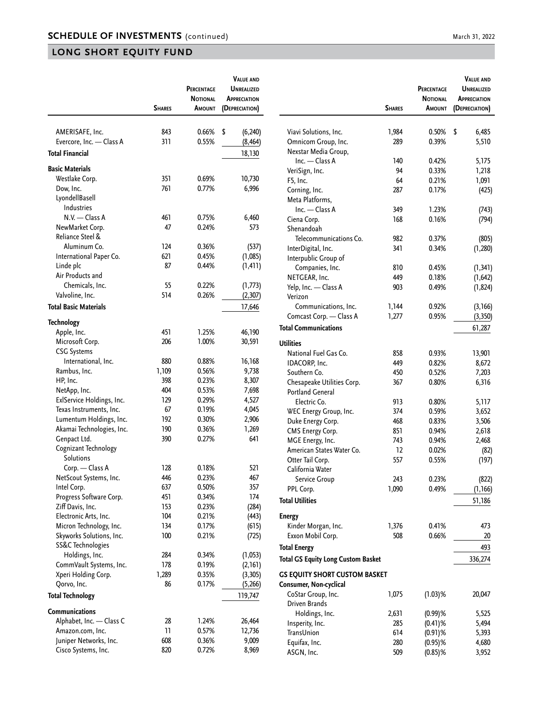|                                           | <b>SHARES</b> | <b>PERCENTAGE</b><br><b>NOTIONAL</b><br>AMOUNT | <b>VALUE AND</b><br><b>UNREALIZED</b><br><b>APPRECIATION</b><br>(DEPRECIATION) |                                                                | <b>SHARES</b> | <b>PERCENTAGE</b><br><b>NOTIONAL</b><br>AMOUNT | <b>VALUE AND</b><br><b>UNREALIZED</b><br><b>APPRECIATION</b><br>(DEPRECIATION) |
|-------------------------------------------|---------------|------------------------------------------------|--------------------------------------------------------------------------------|----------------------------------------------------------------|---------------|------------------------------------------------|--------------------------------------------------------------------------------|
|                                           |               |                                                |                                                                                |                                                                |               |                                                |                                                                                |
| AMERISAFE, Inc.                           | 843           | 0.66%                                          | \$<br>(6, 240)                                                                 | Viavi Solutions, Inc.                                          | 1,984         | 0.50%                                          | \$<br>6,485                                                                    |
| Evercore, Inc. - Class A                  | 311           | 0.55%                                          | (8, 464)                                                                       | Omnicom Group, Inc.                                            | 289           | 0.39%                                          | 5,510                                                                          |
| <b>Total Financial</b>                    |               |                                                | 18,130                                                                         | Nexstar Media Group,                                           |               |                                                |                                                                                |
| <b>Basic Materials</b>                    |               |                                                |                                                                                | $Inc. - Class A$                                               | 140           | 0.42%                                          | 5,175                                                                          |
| Westlake Corp.                            | 351           | 0.69%                                          | 10,730                                                                         | VeriSign, Inc.                                                 | 94<br>64      | 0.33%<br>0.21%                                 | 1,218                                                                          |
| Dow, Inc.                                 | 761           | 0.77%                                          | 6,996                                                                          | F5, Inc.<br>Corning, Inc.                                      | 287           | 0.17%                                          | 1,091<br>(425)                                                                 |
| LyondellBasell                            |               |                                                |                                                                                | Meta Platforms,                                                |               |                                                |                                                                                |
| Industries                                |               |                                                |                                                                                | $Inc. - Class A$                                               | 349           | 1.23%                                          | (743)                                                                          |
| $N.V.$ - Class A                          | 461           | 0.75%                                          | 6,460                                                                          | Ciena Corp.                                                    | 168           | 0.16%                                          | (794)                                                                          |
| NewMarket Corp.                           | 47            | 0.24%                                          | 573                                                                            | Shenandoah                                                     |               |                                                |                                                                                |
| Reliance Steel &                          |               |                                                |                                                                                | Telecommunications Co.                                         | 982           | 0.37%                                          | (805)                                                                          |
| Aluminum Co.                              | 124           | 0.36%                                          | (537)                                                                          | InterDigital, Inc.                                             | 341           | 0.34%                                          | (1, 280)                                                                       |
| International Paper Co.                   | 621           | 0.45%                                          | (1,085)                                                                        | Interpublic Group of                                           |               |                                                |                                                                                |
| Linde plc                                 | 87            | 0.44%                                          | (1, 411)                                                                       | Companies, Inc.                                                | 810           | 0.45%                                          | (1, 341)                                                                       |
| Air Products and                          |               |                                                |                                                                                | NETGEAR, Inc.                                                  | 449           | 0.18%                                          | (1,642)                                                                        |
| Chemicals, Inc.                           | 55            | 0.22%                                          | (1,773)                                                                        | Yelp, Inc. - Class A                                           | 903           | 0.49%                                          | (1, 824)                                                                       |
| Valvoline, Inc.                           | 514           | 0.26%                                          | (2, 307)                                                                       | Verizon                                                        |               |                                                |                                                                                |
| <b>Total Basic Materials</b>              |               |                                                | 17,646                                                                         | Communications, Inc.                                           | 1,144         | 0.92%                                          | (3, 166)                                                                       |
| <b>Technology</b>                         |               |                                                |                                                                                | Comcast Corp. - Class A                                        | 1,277         | 0.95%                                          | (3, 350)                                                                       |
| Apple, Inc.                               | 451           | 1.25%                                          | 46,190                                                                         | <b>Total Communications</b>                                    |               |                                                | 61,287                                                                         |
| Microsoft Corp.                           | 206           | 1.00%                                          | 30,591                                                                         | <b>Utilities</b>                                               |               |                                                |                                                                                |
| <b>CSG Systems</b>                        |               |                                                |                                                                                | National Fuel Gas Co.                                          | 858           | 0.93%                                          | 13,901                                                                         |
| International, Inc.                       | 880           | 0.88%                                          | 16,168                                                                         | IDACORP, Inc.                                                  | 449           | 0.82%                                          | 8,672                                                                          |
| Rambus, Inc.                              | 1,109         | 0.56%                                          | 9,738                                                                          | Southern Co.                                                   | 450           | 0.52%                                          | 7,203                                                                          |
| HP, Inc.                                  | 398           | 0.23%                                          | 8,307                                                                          | Chesapeake Utilities Corp.                                     | 367           | 0.80%                                          | 6,316                                                                          |
| NetApp, Inc.                              | 404           | 0.53%                                          | 7,698                                                                          | <b>Portland General</b>                                        |               |                                                |                                                                                |
| ExlService Holdings, Inc.                 | 129           | 0.29%                                          | 4,527                                                                          | Electric Co.                                                   | 913           | 0.80%                                          | 5,117                                                                          |
| Texas Instruments, Inc.                   | 67            | 0.19%                                          | 4,045                                                                          | WEC Energy Group, Inc.                                         | 374           | 0.59%                                          | 3,652                                                                          |
| Lumentum Holdings, Inc.                   | 192           | 0.30%                                          | 2,906                                                                          | Duke Energy Corp.                                              | 468           | 0.83%                                          | 3,506                                                                          |
| Akamai Technologies, Inc.                 | 190           | 0.36%                                          | 1,269                                                                          | CMS Energy Corp.                                               | 851           | 0.94%                                          | 2,618                                                                          |
| Genpact Ltd.                              | 390           | 0.27%                                          | 641                                                                            | MGE Energy, Inc.                                               | 743           | 0.94%                                          | 2,468                                                                          |
| Cognizant Technology                      |               |                                                |                                                                                | American States Water Co.                                      | 12            | 0.02%                                          | (82)                                                                           |
| <b>Solutions</b>                          |               |                                                |                                                                                | Otter Tail Corp.                                               | 557           | 0.55%                                          | (197)                                                                          |
| Corp. - Class A                           | 128           | 0.18%                                          | 521                                                                            | California Water                                               |               |                                                |                                                                                |
| NetScout Systems, Inc.                    | 446           | 0.23%                                          | 467                                                                            | Service Group                                                  | 243           | 0.23%                                          | (822)                                                                          |
| Intel Corp.                               | 637           | 0.50%                                          | 357                                                                            | PPL Corp.                                                      | 1,090         | 0.49%                                          | (1, 166)                                                                       |
| Progress Software Corp.                   | 451           | 0.34%                                          | 174                                                                            | <b>Total Utilities</b>                                         |               |                                                | 51,186                                                                         |
| Ziff Davis, Inc.                          | 153           | 0.23%                                          | (284)                                                                          |                                                                |               |                                                |                                                                                |
| Electronic Arts, Inc.                     | 104           | 0.21%                                          | (443)                                                                          | <b>Energy</b>                                                  |               |                                                |                                                                                |
| Micron Technology, Inc.                   | 134           | 0.17%                                          | (615)                                                                          | Kinder Morgan, Inc.                                            | 1,376         | 0.41%                                          | 473                                                                            |
| Skyworks Solutions, Inc.                  | 100           | 0.21%                                          | (725)                                                                          | Exxon Mobil Corp.                                              | 508           | 0.66%                                          | 20                                                                             |
| SS&C Technologies                         | 284           |                                                |                                                                                | <b>Total Energy</b>                                            |               |                                                | 493                                                                            |
| Holdings, Inc.<br>CommVault Systems, Inc. | 178           | 0.34%<br>0.19%                                 | (1,053)<br>(2, 161)                                                            | <b>Total GS Equity Long Custom Basket</b>                      |               |                                                | 336,274                                                                        |
| Xperi Holding Corp.                       | 1,289         | 0.35%                                          | (3,305)                                                                        |                                                                |               |                                                |                                                                                |
| Qorvo, Inc.                               | 86            | 0.17%                                          | (5,266)                                                                        | <b>GS EQUITY SHORT CUSTOM BASKET</b><br>Consumer, Non-cyclical |               |                                                |                                                                                |
|                                           |               |                                                |                                                                                | CoStar Group, Inc.                                             | 1,075         | $(1.03)$ %                                     | 20,047                                                                         |
| <b>Total Technology</b><br>Communications |               |                                                | 119,747                                                                        | Driven Brands                                                  |               |                                                |                                                                                |
| Alphabet, Inc. - Class C                  | 28            | 1.24%                                          | 26,464                                                                         | Holdings, Inc.                                                 | 2,631         | $(0.99)$ %                                     | 5,525                                                                          |
| Amazon.com, Inc.                          | 11            | 0.57%                                          | 12,736                                                                         | Insperity, Inc.                                                | 285           | $(0.41)$ %                                     | 5,494                                                                          |
| Juniper Networks, Inc.                    | 608           | 0.36%                                          | 9,009                                                                          | TransUnion                                                     | 614           | $(0.91)$ %                                     | 5,393                                                                          |
| Cisco Systems, Inc.                       | 820           | 0.72%                                          | 8,969                                                                          | Equifax, Inc.                                                  | 280           | $(0.95)$ %                                     | 4,680                                                                          |
|                                           |               |                                                |                                                                                | ASGN, Inc.                                                     | 509           | $(0.85)$ %                                     | 3,952                                                                          |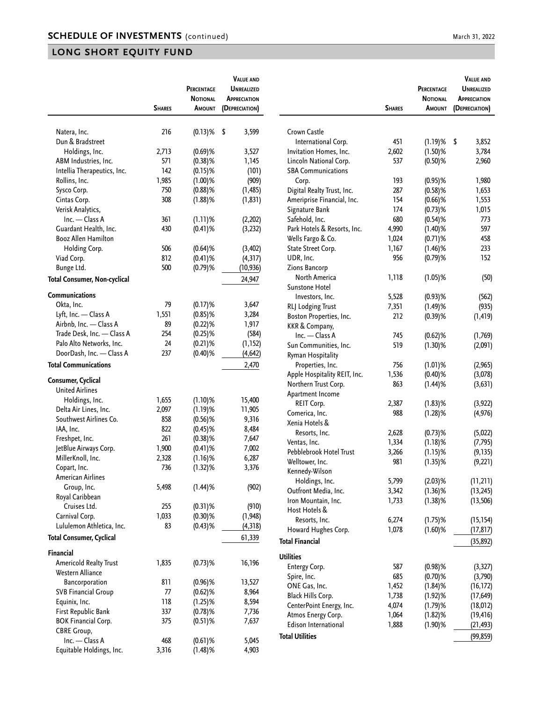|                                 |               | PERCENTAGE<br>NOTIONAL | <b>VALUE AND</b><br>UNREALIZED<br>APPRECIATION |
|---------------------------------|---------------|------------------------|------------------------------------------------|
|                                 | <b>SHARES</b> | AMOUNT                 | (DEPRECIATION)                                 |
|                                 |               |                        |                                                |
| Natera, Inc.                    | 216           | $(0.13)$ %             | \$<br>3,599                                    |
| Dun & Bradstreet                |               |                        |                                                |
| Holdings, Inc.                  | 2,713         | $(0.69)$ %             | 3,527                                          |
| ABM Industries, Inc.            | 571           | $(0.38)$ %             | 1,145                                          |
| Intellia Therapeutics, Inc.     | 142           | $(0.15)$ %             | (101)                                          |
| Rollins, Inc.                   | 1,985         | $(1.00)$ %             | (909)                                          |
| Sysco Corp.                     | 750           | $(0.88)$ %             | (1, 485)                                       |
| Cintas Corp.                    | 308           | $(1.88)$ %             | (1, 831)                                       |
| Verisk Analytics,               |               |                        |                                                |
| Inc. - Class A                  | 361           | (1.11)%                | (2,202)                                        |
| Guardant Health, Inc.           | 430           | $(0.41)$ %             | (3, 232)                                       |
| <b>Booz Allen Hamilton</b>      |               |                        |                                                |
| Holding Corp.                   | 506           | $(0.64)$ %             | (3, 402)                                       |
| Viad Corp.                      | 812           | $(0.41)$ %             | (4, 317)                                       |
| Bunge Ltd.                      | 500           | $(0.79)$ %             | (10, 936)                                      |
| Total Consumer, Non-cyclical    |               |                        | 24,947                                         |
| Communications                  |               |                        |                                                |
| Okta, Inc.                      | 79            | $(0.17)$ %             | 3,647                                          |
| Lyft, Inc. - Class A            | 1,551         | $(0.85)$ %             | 3,284                                          |
| Airbnb, Inc. - Class A          | 89            | $(0.22)$ %             | 1,917                                          |
| Trade Desk, Inc. - Class A      | 254           | $(0.25)$ %             | (584)                                          |
| Palo Alto Networks, Inc.        | 24            | $(0.21)$ %             | (1, 152)                                       |
| DoorDash, Inc. - Class A        | 237           | $(0.40)$ %             | (4, 642)                                       |
| <b>Total Communications</b>     |               |                        | 2,470                                          |
| Consumer, Cyclical              |               |                        |                                                |
| <b>United Airlines</b>          |               |                        |                                                |
| Holdings, Inc.                  | 1,655         | (1.10)%                | 15,400                                         |
| Delta Air Lines, Inc.           | 2,097         | $(1.19)$ %             | 11,905                                         |
| Southwest Airlines Co.          | 858           | $(0.56)$ %             | 9,316                                          |
| IAA, Inc.                       | 822           | $(0.45)$ %             | 8,484                                          |
| Freshpet, Inc.                  | 261           | $(0.38)$ %             | 7,647                                          |
| JetBlue Airways Corp.           | 1,900         | $(0.41)$ %             | 7,002                                          |
| MillerKnoll, Inc.               | 2,328         | $(1.16)$ %             | 6,287                                          |
| Copart, Inc.                    | 736           | $(1.32)$ %             | 3,376                                          |
| American Airlines               |               |                        |                                                |
| Group, Inc.                     | 5,498         | $(1.44)$ %             | (902)                                          |
| Royal Caribbean                 |               |                        |                                                |
| Cruises Ltd.                    | 255           | $(0.31)\%$             | (910)                                          |
| Carnival Corp.                  | 1,033         | $(0.30)$ %             | (1, 948)                                       |
| Lululemon Athletica, Inc.       | 83            | $(0.43)$ %             | (4, 318)                                       |
| <b>Total Consumer, Cyclical</b> |               |                        | 61,339                                         |
| Financial                       |               |                        |                                                |
| Americold Realty Trust          | 1,835         | $(0.73)$ %             | 16,196                                         |
| Western Alliance                |               |                        |                                                |
| Bancorporation                  | 811           | $(0.96)\%$             | 13,527                                         |
| <b>SVB Financial Group</b>      | 77            | $(0.62)$ %             | 8,964                                          |
| Equinix, Inc.                   | 118           | $(1.25)$ %             | 8,594                                          |
| First Republic Bank             | 337           | $(0.78)$ %             | 7,736                                          |
| <b>BOK Financial Corp.</b>      | 375           | $(0.51)\%$             | 7,637                                          |
| <b>CBRE Group,</b>              |               |                        |                                                |
| Inc. - Class A                  | 468           | $(0.61)$ %             | 5,045                                          |
| Equitable Holdings, Inc.        | 3,316         | $(1.48)$ %             | 4,903                                          |

|                              | <b>SHARES</b> | PERCENTAGE<br><b>NOTIONAL</b><br><b>A</b> MOUNT | <b>VALUE AND</b><br><b>UNREALIZED</b><br><b>APPRECIATION</b><br>(DEPRECIATION) |
|------------------------------|---------------|-------------------------------------------------|--------------------------------------------------------------------------------|
|                              |               |                                                 |                                                                                |
| Crown Castle                 |               |                                                 |                                                                                |
| International Corp.          | 451           | $(1.19)$ %                                      | \$<br>3,852                                                                    |
| Invitation Homes, Inc.       | 2,602         | $(1.50)$ %                                      | 3,784                                                                          |
| Lincoln National Corp.       | 537           | $(0.50)$ %                                      | 2,960                                                                          |
| <b>SBA Communications</b>    |               |                                                 |                                                                                |
| Corp.                        | 193           | $(0.95)$ %                                      | 1,980                                                                          |
| Digital Realty Trust, Inc.   | 287           | $(0.58)$ %                                      | 1,653                                                                          |
| Ameriprise Financial, Inc.   | 154           | $(0.66)$ %                                      | 1,553                                                                          |
| Signature Bank               | 174           | $(0.73)$ %                                      | 1,015                                                                          |
| Safehold, Inc.               | 680           | $(0.54)$ %                                      | 773                                                                            |
| Park Hotels & Resorts, Inc.  | 4,990         | $(1.40)$ %                                      | 597                                                                            |
| Wells Fargo & Co.            | 1,024         | $(0.71)$ %                                      | 458                                                                            |
| State Street Corp.           | 1,167         | $(1.46)$ %                                      | 233                                                                            |
| UDR, Inc.                    | 956           | $(0.79)$ %                                      | 152                                                                            |
| Zions Bancorp                |               |                                                 |                                                                                |
| North America                | 1,118         | $(1.05)$ %                                      | (50)                                                                           |
| Sunstone Hotel               |               |                                                 |                                                                                |
| Investors, Inc.              | 5,528         | $(0.93)$ %                                      | (562)                                                                          |
| RLJ Lodging Trust            | 7,351         | $(1.49)$ %                                      | (935)                                                                          |
| Boston Properties, Inc.      | 212           | $(0.39)$ %                                      | (1, 419)                                                                       |
| KKR & Company,               |               |                                                 |                                                                                |
| Inc. - Class A               |               |                                                 |                                                                                |
|                              | 745           | $(0.62)$ %                                      | (1,769)                                                                        |
| Sun Communities, Inc.        | 519           | $(1.30)$ %                                      | (2,091)                                                                        |
| Ryman Hospitality            |               |                                                 |                                                                                |
| Properties, Inc.             | 756           | $(1.01)$ %                                      | (2,965)                                                                        |
| Apple Hospitality REIT, Inc. | 1,536         | $(0.40)$ %                                      | (3,078)                                                                        |
| Northern Trust Corp.         | 863           | $(1.44)$ %                                      | (3, 631)                                                                       |
| Apartment Income             |               |                                                 |                                                                                |
| REIT Corp.                   | 2,387         | $(1.83)$ %                                      | (3, 922)                                                                       |
| Comerica, Inc.               | 988           | $(1.28)$ %                                      | (4, 976)                                                                       |
| Xenia Hotels &               |               |                                                 |                                                                                |
| Resorts, Inc.                | 2,628         | $(0.73)$ %                                      | (5,022)                                                                        |
| Ventas, Inc.                 | 1,334         | $(1.18)$ %                                      | (7, 795)                                                                       |
| Pebblebrook Hotel Trust      | 3,266         | $(1.15)$ %                                      | (9, 135)                                                                       |
| Welltower, Inc.              | 981           | $(1.35)$ %                                      | (9, 221)                                                                       |
| Kennedy-Wilson               |               |                                                 |                                                                                |
| Holdings, Inc.               | 5,799         | $(2.03)$ %                                      | (11, 211)                                                                      |
| Outfront Media, Inc.         | 3,342         | $(1.36)$ %                                      | (13, 245)                                                                      |
| Iron Mountain, Inc.          | 1,733         | $(1.38)$ %                                      | (13, 506)                                                                      |
| Host Hotels &                |               |                                                 |                                                                                |
| Resorts, Inc.                | 6,274         | $(1.75)$ %                                      | (15, 154)                                                                      |
| Howard Hughes Corp.          | 1,078         | $(1.60)$ %                                      | (17, 817)                                                                      |
| <b>Total Financial</b>       |               |                                                 |                                                                                |
|                              |               |                                                 | (35, 892)                                                                      |
| <b>Utilities</b>             |               |                                                 |                                                                                |
| Entergy Corp.                | 587           | $(0.98)$ %                                      | (3,327)                                                                        |
| Spire, Inc.                  | 685           | $(0.70)$ %                                      | (3,790)                                                                        |
| ONE Gas, Inc.                | 1,452         | $(1.84)$ %                                      | (16, 172)                                                                      |
| Black Hills Corp.            | 1,738         | $(1.92)$ %                                      | (17, 649)                                                                      |
| CenterPoint Energy, Inc.     | 4,074         | $(1.79)$ %                                      | (18, 012)                                                                      |
| Atmos Energy Corp.           | 1,064         | $(1.82)$ %                                      | (19, 416)                                                                      |
| Edison International         | 1,888         | $(1.90)$ %                                      | (21, 493)                                                                      |
|                              |               |                                                 |                                                                                |
| <b>Total Utilities</b>       |               |                                                 | (99, 859)                                                                      |